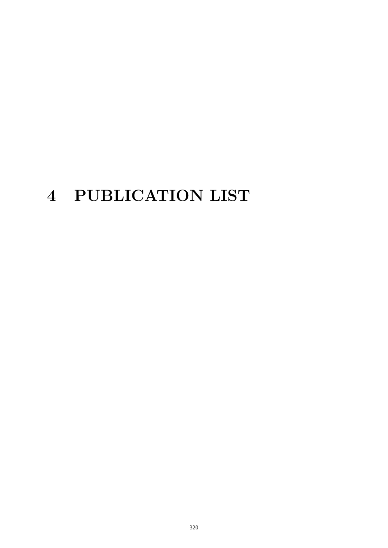# **4 PUBLICATION LIST**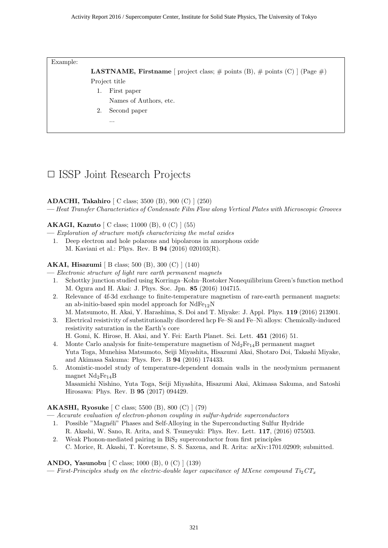Example:

**LASTNAME, Firstname** [ project class;  $\#$  points (B),  $\#$  points (C) ] (Page  $\#$ ) Project title

- 1. First paper
	- Names of Authors, etc.
- 2. Second paper
	- ...

## *✷* ISSP Joint Research Projects

#### **ADACHI, Takahiro** [ C class; 3500 (B), 900 (C) ] (250)

**—** *Heat Transfer Characteristics of Condensate Film Flow along Vertical Plates with Microscopic Grooves*

#### **AKAGI, Kazuto** [ C class; 11000 (B), 0 (C) ] (55)

**—** *Exploration of structure motifs characterizing the metal oxides*

1. Deep electron and hole polarons and bipolarons in amorphous oxide M. Kaviani et al.: Phys. Rev. B **94** (2016) 020103(R).

#### **AKAI, Hisazumi** [ B class; 500 (B), 300 (C) ] (140)

**—** *Electronic structure of light rare earth permanent magnets*

- 1. Schottky junction studied using Korringa–Kohn–Rostoker Nonequilibrium Green's function method M. Ogura and H. Akai: J. Phys. Soc. Jpn. **85** (2016) 104715.
- 2. Relevance of 4f-3d exchange to finite-temperature magnetism of rare-earth permanent magnets: an ab-initio-based spin model approach for  $NdFe_{12}N$ M. Matsumoto, H. Akai, Y. Harashima, S. Doi and T. Miyake: J. Appl. Phys. **119** (2016) 213901.
- 3. Electrical resistivity of substitutionally disordered hcp Fe–Si and Fe–Ni alloys: Chemically-induced resistivity saturation in the Earth's core

H. Gomi, K. Hirose, H. Akai, and Y. Fei: Earth Planet. Sci. Lett. **451** (2016) 51.

- 4. Monte Carlo analysis for finite-temperature magnetism of  $Nd_2Fe_{14}B$  permanent magnet Yuta Toga, Munehisa Matsumoto, Seiji Miyashita, Hisazumi Akai, Shotaro Doi, Takashi Miyake, and Akimasa Sakuma: Phys. Rev. B **94** (2016) 174433.
- 5. Atomistic-model study of temperature-dependent domain walls in the neodymium permanent magnet  $Nd_2Fe_{14}B$

Masamichi Nishino, Yuta Toga, Seiji Miyashita, Hisazumi Akai, Akimasa Sakuma, and Satoshi Hirosawa: Phys. Rev. B **95** (2017) 094429.

#### **AKASHI, Ryosuke** [ C class; 5500 (B), 800 (C) ] (79)

**—** *Accurate evaluation of electron-phonon coupling in sulfur-hydride superconductors*

- 1. Possible "Magnéli" Phases and Self-Alloying in the Superconducting Sulfur Hydride R. Akashi, W. Sano, R. Arita, and S. Tsuneyuki: Phys. Rev. Lett. **117**, (2016) 075503.
- 2. Weak Phonon-mediated pairing in  $BiS<sub>2</sub>$  superconductor from first principles C. Morice, R. Akashi, T. Koretsune, S. S. Saxena, and R. Arita: arXiv:1701.02909; submitted.

**ANDO, Yasunobu** [ C class; 1000 (B), 0 (C) ] (139)  $\rightarrow$  *First-Principles study on the electric-double layer capacitance of MXene compound Ti<sub>2</sub>CT<sub><i>x*</sub>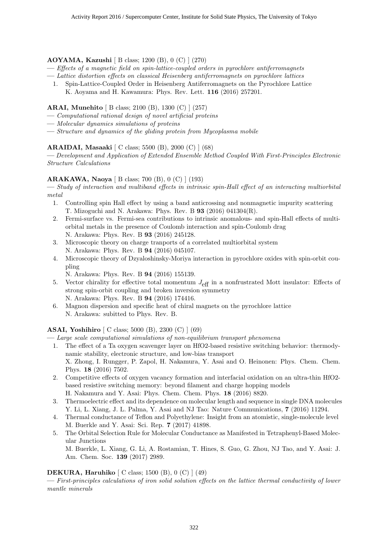#### **AOYAMA, Kazushi** [ B class; 1200 (B), 0 (C) ] (270)

- **—** *Effects of a magnetic field on spin-lattice-coupled orders in pyrochlore antiferromagnets*
- **—** *Lattice distortion effects on classical Heisenberg antiferromagnets on pyrochlore lattices*
- 1. Spin-Lattice-Coupled Order in Heisenberg Antiferromagnets on the Pyrochlore Lattice K. Aoyama and H. Kawamura: Phys. Rev. Lett. **116** (2016) 257201.

#### **ARAI, Munehito** [ B class; 2100 (B), 1300 (C) ] (257)

- **—** *Computational rational design of novel artificial proteins*
- **—** *Molecular dynamics simulations of proteins*
- **—** *Structure and dynamics of the gliding protein from Mycoplasma mobile*

#### **ARAIDAI, Masaaki** [ C class; 5500 (B), 2000 (C) ] (68)

**—** *Development and Application of Extended Ensemble Method Coupled With First-Principles Electronic Structure Calculations*

#### **ARAKAWA, Naoya** [ B class; 700 (B), 0 (C) ] (193)

**—** *Study of interaction and multiband effects in intrinsic spin-Hall effect of an interacting multiorbital metal*

- 1. Controlling spin Hall effect by using a band anticrossing and nonmagnetic impurity scattering T. Mizoguchi and N. Arakawa: Phys. Rev. B **93** (2016) 041304(R).
- 2. Fermi-surface vs. Fermi-sea contributions to intrinsic anomalous- and spin-Hall effects of multiorbital metals in the presence of Coulomb interaction and spin-Coulomb drag N. Arakawa: Phys. Rev. B **93** (2016) 245128.
- 3. Microscopic theory on charge tranports of a correlated multiorbital system N. Arakawa: Phys. Rev. B **94** (2016) 045107.
- 4. Microscopic theory of Dzyaloshinsky-Moriya interaction in pyrochlore oxides with spin-orbit coupling
	- N. Arakawa: Phys. Rev. B **94** (2016) 155139.
- 5. Vector chirality for effective total momentum  $J_{\text{eff}}$  in a nonfrustrated Mott insulator: Effects of strong spin-orbit coupling and broken inversion symmetry N. Arakawa: Phys. Rev. B **94** (2016) 174416.
- 6. Magnon dispersion and specific heat of chiral magnets on the pyrochlore lattice N. Arakawa: subitted to Phys. Rev. B.

#### **ASAI, Yoshihiro** [ C class; 5000 (B), 2300 (C) ] (69)

**—** *Large scale computational simulations of non-equilibrium transport phenomena*

- 1. The effect of a Ta oxygen scavenger layer on HfO2-based resistive switching behavior: thermodynamic stability, electronic structure, and low-bias transport X. Zhong, I. Rungger, P. Zapol, H. Nakamura, Y. Asai and O. Heinonen: Phys. Chem. Chem. Phys. **18** (2016) 7502.
- 2. Competitive effects of oxygen vacancy formation and interfacial oxidation on an ultra-thin HfO2 based resistive switching memory: beyond filament and charge hopping models H. Nakamura and Y. Asai: Phys. Chem. Chem. Phys. **18** (2016) 8820.
- 3. Thermoelectric effect and its dependence on molecular length and sequence in single DNA molecules Y. Li, L. Xiang, J. L. Palma, Y. Asai and NJ Tao: Nature Communications, **7** (2016) 11294.
- 4. Thermal conductance of Teflon and Polyethylene: Insight from an atomistic, single-molecule level M. Buerkle and Y. Asai: Sci. Rep. **7** (2017) 41898.
- 5. The Orbital Selection Rule for Molecular Conductance as Manifested in Tetraphenyl-Based Molecular Junctions

M. Buerkle, L. Xiang, G. Li, A. Rostamian, T. Hines, S. Guo, G. Zhou, NJ Tao, and Y. Asai: J. Am. Chem. Soc. **139** (2017) 2989.

#### **DEKURA, Haruhiko** [ C class; 1500 (B), 0 (C) ] (49)

**—** *First-principles calculations of iron solid solution effects on the lattice thermal conductivity of lower mantle minerals*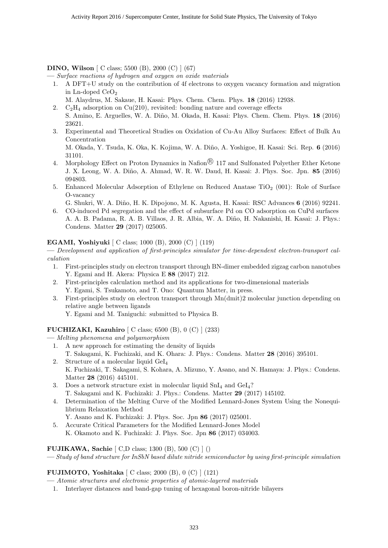#### **DINO, Wilson** [ C class; 5500 (B), 2000 (C) ] (67)

**—** *Surface reactions of hydrogen and oxygen on oxide materials*

- 1. A DFT+U study on the contribution of 4f electrons to oxygen vacancy formation and migration in Ln-doped CeO<sup>2</sup>
	- M. Alaydrus, M. Sakaue, H. Kasai: Phys. Chem. Chem. Phys. **18** (2016) 12938.
- 2.  $C_2H_4$  adsorption on  $Cu(210)$ , revisited: bonding nature and coverage effects S. Amino, E. Arguelles, W. A. Diño, M. Okada, H. Kasai: Phys. Chem. Chem. Phys. 18 (2016) 23621.
- 3. Experimental and Theoretical Studies on Oxidation of Cu-Au Alloy Surfaces: Effect of Bulk Au Concentration

M. Okada, Y. Tsuda, K. Oka, K. Kojima, W. A. Di˜no, A. Yoshigoe, H. Kasai: Sci. Rep. **6** (2016) 31101.

- 4. Morphology Effect on Proton Dynamics in Nafion<sup>®</sup> 117 and Sulfonated Polyether Ether Ketone J. X. Leong, W. A. Di˜no, A. Ahmad, W. R. W. Daud, H. Kasai: J. Phys. Soc. Jpn. **85** (2016) 094803.
- 5. Enhanced Molecular Adsorption of Ethylene on Reduced Anatase  $TiO<sub>2</sub>$  (001): Role of Surface O-vacancy

G. Shukri, W. A. Di˜no, H. K. Dipojono, M. K. Agusta, H. Kasai: RSC Advances **6** (2016) 92241.

6. CO-induced Pd segregation and the effect of subsurface Pd on CO adsorption on CuPd surfaces A. A. B. Padama, R. A. B. Villaos, J. R. Albia, W. A. Diño, H. Nakanishi, H. Kasai: J. Phys.: Condens. Matter **29** (2017) 025005.

#### **EGAMI, Yoshiyuki** [ C class; 1000 (B), 2000 (C) ] (119)

**—** *Development and application of first-principles simulator for time-dependent electron-transport calculation*

- 1. First-principles study on electron transport through BN-dimer embedded zigzag carbon nanotubes Y. Egami and H. Akera: Physica E **88** (2017) 212.
- 2. First-principles calculation method and its applications for two-dimensional materials Y. Egami, S. Tsukamoto, and T. Ono: Quantum Matter, in press.
- 3. First-principles study on electron transport through Mn(dmit)2 molecular junction depending on relative angle between ligands

Y. Egami and M. Taniguchi: submitted to Physica B.

#### **FUCHIZAKI, Kazuhiro** [ C class; 6500 (B), 0 (C) ] (233)

- **—** *Melting phenomena and polyamorphism*
	- 1. A new approach for estimating the density of liquids
	- T. Sakagami, K. Fuchizaki, and K. Ohara: J. Phys.: Condens. Matter **28** (2016) 395101.
	- 2. Structure of a molecular liquid GeI<sup>4</sup> K. Fuchizaki, T. Sakagami, S. Kohara, A. Mizuno, Y. Asano, and N. Hamaya: J. Phys.: Condens. Matter **28** (2016) 445101.
	- 3. Does a network structure exist in molecular liquid  $SnI<sub>4</sub>$  and  $GeI<sub>4</sub>$ ? T. Sakagami and K. Fuchizaki: J. Phys.: Condens. Matter **29** (2017) 145102.
	- 4. Determination of the Melting Curve of the Modified Lennard-Jones System Using the Nonequilibrium Relaxation Method
		- Y. Asano and K. Fuchizaki: J. Phys. Soc. Jpn **86** (2017) 025001.
	- 5. Accurate Critical Parameters for the Modified Lennard-Jones Model K. Okamoto and K. Fuchizaki: J. Phys. Soc. Jpn **86** (2017) 034003.

#### **FUJIKAWA, Sachie** [ C,D class; 1300 (B), 500 (C) ] ()

**—** *Study of band structure for InSbN based dilute nitride semiconductor by using first-principle simulation*

#### **FUJIMOTO, Yoshitaka** [ C class; 2000 (B), 0 (C) ] (121)

- **—** *Atomic structures and electronic properties of atomic-layered materials*
- 1. Interlayer distances and band-gap tuning of hexagonal boron-nitride bilayers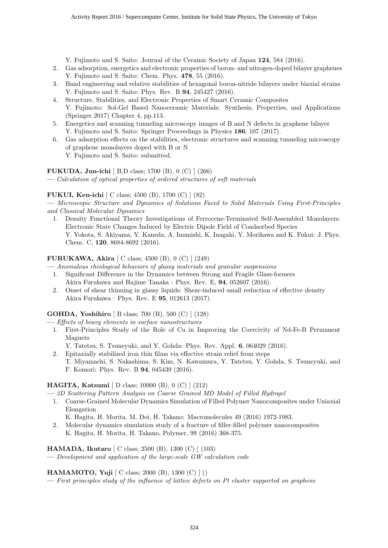Y. Fujimoto and S. Saito: Journal of the Ceramic Society of Japan **124**, 584 (2016).

- 2. Gas adsorption, energetics and electronic properties of boron- and nitrogen-doped bilayer graphenes Y. Fujimoto and S. Saito: Chem. Phys. **478**, 55 (2016).
- 3. Band engineering and relative stabilities of hexagonal boron-nitride bilayers under biaxial strains Y. Fujimoto and S. Saito: Phys. Rev. B **94**, 245427 (2016).
- 4. Structure, Stabilities, and Electronic Properties of Smart Ceramic Composites Y. Fujimoto: Sol-Gel Based Nanoceramic Materials: Synthesis, Properties, and Applications (Springer 2017) Chapter 4, pp.113.
- 5. Energetics and scanning tunneling microscopy images of B and N defects in graphene bilayer Y. Fujimoto and S. Saito: Springer Proceedings in Physics **186**, 107 (2017).
- 6. Gas adsorption effects on the stabilities, electronic structures and scanning tunneling microscopy of graphene monolayers doped with B or N Y. Fujimoto and S. Saito: submitted.

#### **FUKUDA, Jun-ichi** [ B,D class; 1700 (B), 0 (C) ] (266)

**—** *Calculation of optical properties of ordered structures of soft materials*

#### **FUKUI, Ken-ichi** [ C class; 4500 (B), 1700 (C) ] (82)

**—** *Microscopic Structure and Dynamics of Solutions Faced to Solid Materials Using First-Principles and Classical Molecular Dynamics*

1. Density Functional Theory Investigations of Ferrocene-Terminated Self-Assembled Monolayers: Electronic State Changes Induced by Electric Dipole Field of Coadsorbed Species Y. Yokota, S. Akiyama, Y. Kaneda, A. Imanishi, K. Inagaki, Y. Morikawa and K. Fukui: J. Phys. Chem. C, **120**, 8684-8692 (2016).

#### **FURUKAWA, Akira** [ C class; 4500 (B), 0 (C) ] (249)

- **—** *Anomalous rheological behaviors of glassy materials and granular suspensions*
	- 1. Significant Difference in the Dynamics between Strong and Fragile Glass-formers Akira Furukawa and Hajime Tanaka : Phys. Rev. E, **94**, 052607 (2016).
	- 2. Onset of shear thinning in glassy liquids: Shear-induced small reduction of effective density Akira Furukawa : Phys. Rev. E **95**, 012613 (2017).

#### **GOHDA, Yoshihiro** [ B class; 700 (B), 500 (C) ] (128)

**—** *Effects of heavy elements in surface nanostructures*

- 1. First-Principles Study of the Role of Cu in Improving the Coercivity of Nd-Fe-B Permanent Magnets
	- Y. Tatetsu, S. Tsuneyuki, and Y. Gohda: Phys. Rev. Appl. **6**, 064029 (2016).
- 2. Epitaxially stabilized iron thin films via effective strain relief from steps T. Miyamachi, S. Nakashima, S. Kim, N. Kawamura, Y. Tatetsu, Y. Gohda, S. Tsuneyuki, and F. Komori: Phys. Rev. B **94**, 045439 (2016).

#### **HAGITA, Katsumi** [ D class; 10000 (B), 0 (C) ] (212)

**—** *2D Scattering Pattern Analysis on Coarse Grained MD Model of Filled Hydrogel*

1. Coarse-Grained Molecular Dynamics Simulation of Filled Polymer Nanocomposites under Uniaxial Elongation

K. Hagita, H. Morita, M. Doi, H. Takano: Macromolecules 49 (2016) 1972-1983.

2. Molecular dynamics simulation study of a fracture of filler-filled polymer nanocomposites K. Hagita, H. Morita, H. Takano, Polymer, 99 (2016) 368-375.

**HAMADA, Ikutaro** [ C class; 2500 (B), 1300 (C) ] (103)

**—** *Development and application of the large-scale GW calculation code*

#### **HAMAMOTO, Yuji** [ C class; 2000 (B), 1300 (C) ] ()

**—** *First principles study of the influence of lattice defects on Pt cluster supported on graphene*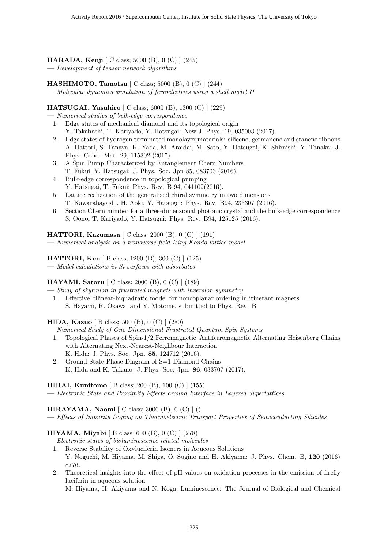**HARADA, Kenji** [ C class; 5000 (B), 0 (C) ] (245) **—** *Development of tensor network algorithms*

**HASHIMOTO, Tamotsu** [ C class; 5000 (B), 0 (C) ] (244)

**—** *Molecular dynamics simulation of ferroelectrics using a shell model II*

**HATSUGAI, Yasuhiro** [ C class; 6000 (B), 1300 (C) ] (229)

**—** *Numerical studies of bulk-edge correspondence*

- 1. Edge states of mechanical diamond and its topological origin Y. Takahashi, T. Kariyado, Y. Hatsugai: New J. Phys. 19, 035003 (2017).
- 2. Edge states of hydrogen terminated monolayer materials: silicene, germanene and stanene ribbons A. Hattori, S. Tanaya, K. Yada, M. Araidai, M. Sato, Y. Hatsugai, K. Shiraishi, Y. Tanaka: J. Phys. Cond. Mat. 29, 115302 (2017).
- 3. A Spin Pump Characterized by Entanglement Chern Numbers T. Fukui, Y. Hatsugai: J. Phys. Soc. Jpn 85, 083703 (2016).
- 4. Bulk-edge correspondence in topological pumping Y. Hatsugai, T. Fukui: Phys. Rev. B 94, 041102(2016).
- 5. Lattice realization of the generalized chiral symmetry in two dimensions T. Kawarabayashi, H. Aoki, Y. Hatsugai: Phys. Rev. B94, 235307 (2016).
- 6. Section Chern number for a three-dimensional photonic crystal and the bulk-edge correspondence S. Oono, T. Kariyado, Y. Hatsugai: Phys. Rev. B94, 125125 (2016).

**HATTORI, Kazumasa** [ C class; 2000 (B), 0 (C) ] (191)

**—** *Numerical analysis on a transverse-field Ising-Kondo lattice model*

**HATTORI, Ken** [ B class; 1200 (B), 300 (C) ] (125) **—** *Model calculations in Si surfaces with adsorbates*

**HAYAMI, Satoru** [ C class; 2000 (B), 0 (C) ] (189)

**—** *Study of skyrmion in frustrated magnets with inversion symmetry*

1. Effective bilinear-biquadratic model for noncoplanar ordering in itinerant magnets S. Hayami, R. Ozawa, and Y. Motome, submitted to Phys. Rev. B

**HIDA, Kazuo** [ B class; 500 (B), 0 (C) ] (280)

- **—** *Numerical Study of One Dimensional Frustrated Quantum Spin Systems*
	- 1. Topological Phases of Spin-1/2 Ferromagnetic–Antiferromagnetic Alternating Heisenberg Chains with Alternating Next-Nearest-Neighbour Interaction K. Hida: J. Phys. Soc. Jpn. **85**, 124712 (2016).
	- 2. Ground State Phase Diagram of S=1 Diamond Chains K. Hida and K. Takano: J. Phys. Soc. Jpn. **86**, 033707 (2017).

**HIRAI, Kunitomo** [ B class; 200 (B), 100 (C) ] (155)

**—** *Electronic State and Proximity Effects around Interface in Layered Superlattices*

**HIRAYAMA, Naomi** [ C class; 3000 (B), 0 (C) ] ()

**—** *Effects of Impurity Doping on Thermoelectric Transport Properties of Semiconducting Silicides*

#### **HIYAMA, Miyabi** [ B class; 600 (B), 0 (C) ] (278)

- **—** *Electronic states of bioluminescence related molecules*
	- 1. Reverse Stability of Oxyluciferin Isomers in Aqueous Solutions Y. Noguchi, M. Hiyama, M. Shiga, O. Sugino and H. Akiyama: J. Phys. Chem. B, **120** (2016) 8776.
	- 2. Theoretical insights into the effect of pH values on oxidation processes in the emission of firefly luciferin in aqueous solution

M. Hiyama, H. Akiyama and N. Koga, Luminescence: The Journal of Biological and Chemical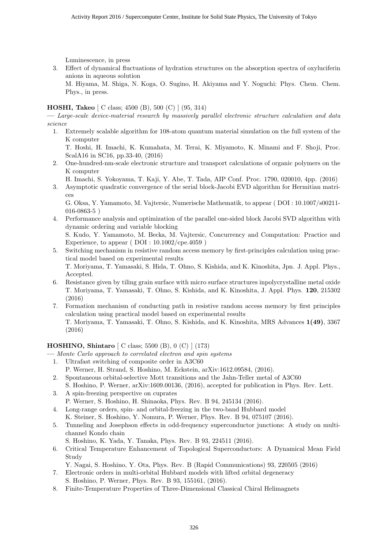Luminescence, in press

3. Effect of dynamical fluctuations of hydration structures on the absorption spectra of oxyluciferin anions in aqueous solution

M. Hiyama, M. Shiga, N. Koga, O. Sugino, H. Akiyama and Y. Noguchi: Phys. Chem. Chem. Phys., in press.

#### **HOSHI, Takeo** [ C class; 4500 (B), 500 (C) ] (95, 314)

**—** *Large-scale device-material research by massively parallel electronic structure calculation and data science*

1. Extremely scalable algorithm for 108-atom quantum material simulation on the full system of the K computer

T. Hoshi, H. Imachi, K. Kumahata, M. Terai, K. Miyamoto, K. Minami and F. Shoji, Proc. ScalA16 in SC16, pp.33-40, (2016)

2. One-hundred-nm-scale electronic structure and transport calculations of organic polymers on the K computer

H. Imachi, S. Yokoyama, T. Kaji, Y. Abe, T. Tada, AIP Conf. Proc. 1790, 020010, 4pp. (2016)

3. Asymptotic quadratic convergence of the serial block-Jacobi EVD algorithm for Hermitian matrices

G. Oksa, Y. Yamamoto, M. Vajtersic, Numerische Mathematik, to appear ( DOI : 10.1007/s00211- 016-0863-5 )

- 4. Performance analysis and optimization of the parallel one-sided block Jacobi SVD algorithm with dynamic ordering and variable blocking S. Kudo, Y. Yamamoto, M. Becka, M. Vajtersic, Concurrency and Computation: Practice and
- Experience, to appear ( $DOI: 10.1002/cp.4059$ ) 5. Switching mechanism in resistive random access memory by first-principles calculation using practical model based on experimental results T. Moriyama, T. Yamasaki, S. Hida, T. Ohno, S. Kishida, and K. Kinoshita, Jpn. J. Appl. Phys., Accepted.
- 6. Resistance given by tiling grain surface with micro surface structures inpolycrystalline metal oxide T. Moriyama, T. Yamasaki, T. Ohno, S. Kishida, and K. Kinoshita, J. Appl. Phys. **120**, 215302 (2016)
- 7. Formation mechanism of conducting path in resistive random access memory by first principles calculation using practical model based on experimental results T. Moriyama, T. Yamasaki, T. Ohno, S. Kishida, and K. Kinoshita, MRS Advances **1(49)**, 3367 (2016)

**HOSHINO, Shintaro** [ C class; 5500 (B), 0 (C) ] (173)

- **—** *Monte Carlo approach to correlated electron and spin systems*
	- 1. Ultrafast switching of composite order in A3C60
		- P. Werner, H. Strand, S. Hoshino, M. Eckstein, arXiv:1612.09584, (2016).
	- 2. Spontaneous orbital-selective Mott transitions and the Jahn-Teller metal of A3C60 S. Hoshino, P. Werner, arXiv:1609.00136, (2016), accepted for publication in Phys. Rev. Lett.
	- 3. A spin-freezing perspective on cuprates P. Werner, S. Hoshino, H. Shinaoka, Phys. Rev. B 94, 245134 (2016).
	- 4. Long-range orders, spin- and orbital-freezing in the two-band Hubbard model K. Steiner, S. Hoshino, Y. Nomura, P. Werner, Phys. Rev. B 94, 075107 (2016).
	- 5. Tunneling and Josephson effects in odd-frequency superconductor junctions: A study on multichannel Kondo chain
		- S. Hoshino, K. Yada, Y. Tanaka, Phys. Rev. B 93, 224511 (2016).
	- 6. Critical Temperature Enhancement of Topological Superconductors: A Dynamical Mean Field Study

Y. Nagai, S. Hoshino, Y. Ota, Phys. Rev. B (Rapid Communications) 93, 220505 (2016)

- 7. Electronic orders in multi-orbital Hubbard models with lifted orbital degeneracy S. Hoshino, P. Werner, Phys. Rev. B 93, 155161, (2016).
- 8. Finite-Temperature Properties of Three-Dimensional Classical Chiral Helimagnets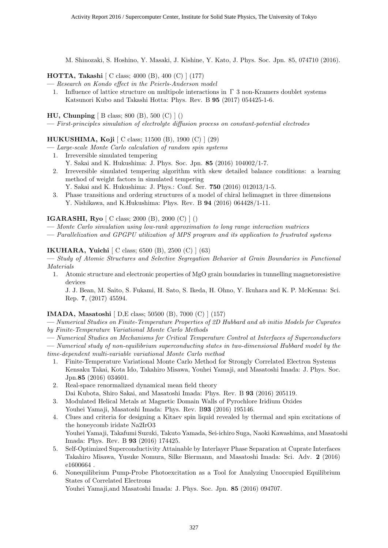M. Shinozaki, S. Hoshino, Y. Masaki, J. Kishine, Y. Kato, J. Phys. Soc. Jpn. 85, 074710 (2016).

**HOTTA, Takashi** [ C class; 4000 (B), 400 (C) ] (177)

**—** *Research on Kondo effect in the Peierls-Anderson model*

1. Influence of lattice structure on multipole interactions in  $\Gamma$  3 non-Kramers doublet systems Katsunori Kubo and Takashi Hotta: Phys. Rev. B **95** (2017) 054425-1-6.

**HU, Chunping** [ B class; 800 (B), 500 (C) ] ()

**—** *First-principles simulation of electrolyte diffusion process on constant-potential electrodes*

#### **HUKUSHIMA, Koji** [ C class; 11500 (B), 1900 (C) ] (29)

**—** *Large-scale Monte Carlo calculation of random spin systems*

- 1. Irreversible simulated tempering
- Y. Sakai and K. Hukushima: J. Phys. Soc. Jpn. **85** (2016) 104002/1-7. 2. Irreversible simulated tempering algorithm with skew detailed balance conditions: a learning method of weight factors in simulated tempering
	- Y. Sakai and K. Hukushima: J. Phys.: Conf. Ser. **750** (2016) 012013/1-5.
- 3. Phase transitions and ordering structures of a model of chiral helimagnet in three dimensions Y. Nishikawa, and K.Hukushima: Phys. Rev. B **94** (2016) 064428/1-11.

#### **IGARASHI, Ryo** [ C class; 2000 (B), 2000 (C) ] ()

**—** *Monte Carlo simulation using low-rank approximation to long range interaction matrices*

**—** *Parallelization and GPGPU utilization of MPS program and its application to frustrated systems*

#### **IKUHARA, Yuichi** [ C class; 6500 (B), 2500 (C) ] (63)

**—** *Study of Atomic Structures and Selective Segregation Behavior at Grain Boundaries in Functional Materials*

1. Atomic structure and electronic properties of MgO grain boundaries in tunnelling magnetoresistive devices

J. J. Bean, M. Saito, S. Fukami, H. Sato, S. Ikeda, H. Ohno, Y. Ikuhara and K. P. McKenna: Sci. Rep. **7**, (2017) 45594.

#### **IMADA, Masatoshi** [ D,E class; 50500 (B), 7000 (C) ] (157)

**—** *Numerical Studies on Finite-Temperature Properties of 2D Hubbard and ab initio Models for Cuprates by Finite-Temperature Variational Monte Carlo Methods*

- **—** *Numerical Studies on Mechanisms for Critical Temperature Control at Interfaces of Superconductors* **—** *Numerical study of non-equilibrium superconducting states in two-dimensional Hubbard model by the time-dependent multi-variable variational Monte Carlo method*
	- 1. Finite-Temperature Variational Monte Carlo Method for Strongly Correlated Electron Systems Kensaku Takai, Kota Ido, Takahiro Misawa, Youhei Yamaji, and Masatoshi Imada: J. Phys. Soc. Jpn.**85** (2016) 034601.
	- 2. Real-space renormalized dynamical mean field theory Dai Kubota, Shiro Sakai, and Masatoshi Imada: Phys. Rev. B **93** (2016) 205119.
	- 3. Modulated Helical Metals at Magnetic Domain Walls of Pyrochlore Iridium Oxides Youhei Yamaji, Masatoshi Imada: Phys. Rev. B**93** (2016) 195146.
	- 4. Clues and criteria for designing a Kitaev spin liquid revealed by thermal and spin excitations of the honeycomb iridate Na2IrO3 Youhei Yamaji, Takafumi Suzuki, Takuto Yamada, Sei-ichiro Suga, Naoki Kawashima, and Masatoshi
	- Imada: Phys. Rev. B **93** (2016) 174425. 5. Self-Optimized Superconductivity Attainable by Interlayer Phase Separation at Cuprate Interfaces Takahiro Misawa, Yusuke Nomura, Silke Biermann, and Masatoshi Imada: Sci. Adv. **2** (2016) e1600664 .
	- 6. Nonequilibrium Pump-Probe Photoexcitation as a Tool for Analyzing Unoccupied Equilibrium States of Correlated Electrons

Youhei Yamaji,and Masatoshi Imada: J. Phys. Soc. Jpn. **85** (2016) 094707.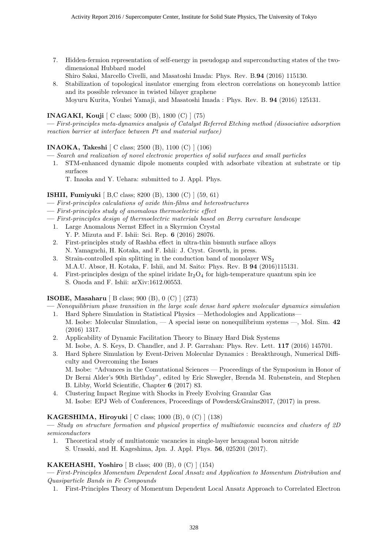- 7. Hidden-fermion representation of self-energy in pseudogap and superconducting states of the twodimensional Hubbard model
	- Shiro Sakai, Marcello Civelli, and Masatoshi Imada: Phys. Rev. B.**94** (2016) 115130.
- 8. Stabilization of topological insulator emerging from electron correlations on honeycomb lattice and its possible relevance in twisted bilayer graphene Moyuru Kurita, Youhei Yamaji, and Masatoshi Imada : Phys. Rev. B. **94** (2016) 125131.

### **INAGAKI, Kouji** [ C class; 5000 (B), 1800 (C) ] (75)

**—** *First-principles meta-dynamics analysis of Catalyst Referred Etching method (dissociative adsorption reaction barrier at interface between Pt and material surface)*

#### **INAOKA, Takeshi** [ C class; 2500 (B), 1100 (C) ] (106)

**—** *Search and realization of novel electronic properties of solid surfaces and small particles*

1. STM-enhanced dynamic dipole moments coupled with adsorbate vibration at substrate or tip surfaces

T. Inaoka and Y. Uehara: submitted to J. Appl. Phys.

#### **ISHII, Fumiyuki** [ B,C class; 8200 (B), 1300 (C) ] (59, 61)

- **—** *First-principles calculations of oxide thin-films and heterostructures*
- **—** *First-principles study of anomalous thermoelectric effect*
- **—** *First-principles design of thermoelectric materials based on Berry curvature landscape*
- 1. Large Anomalous Nernst Effect in a Skyrmion Crystal Y. P. Mizuta and F. Ishii: Sci. Rep. **6** (2016) 28076.
- 2. First-principles study of Rashba effect in ultra-thin bismuth surface alloys N. Yamaguchi, H. Kotaka, and F. Ishii: J. Cryst. Growth, in press.
- 3. Strain-controlled spin splitting in the conduction band of monolayer  $\text{WS}_2$ M.A.U. Absor, H. Kotaka, F. Ishii, and M. Saito: Phys. Rev. B **94** (2016)115131.
- 4. First-principles design of the spinel iridate  $Ir_2O_4$  for high-temperature quantum spin ice S. Onoda and F. Ishii: arXiv:1612.00553.

#### **ISOBE, Masaharu** [ B class; 900 (B), 0 (C) ] (273)

- **—** *Nonequilibrium phase transition in the large scale dense hard sphere molecular dynamics simulation*
- 1. Hard Sphere Simulation in Statistical Physics —Methodologies and Applications— M. Isobe: Molecular Simulation, — A special issue on nonequilibrium systems —, Mol. Sim. **42** (2016) 1317.
- 2. Applicability of Dynamic Facilitation Theory to Binary Hard Disk Systems M. Isobe, A. S. Keys, D. Chandler, and J. P. Garrahan: Phys. Rev. Lett. **117** (2016) 145701.
- 3. Hard Sphere Simulation by Event-Driven Molecular Dynamics : Breakthrough, Numerical Difficulty and Overcoming the Issues M. Isobe: "Advances in the Comutational Sciences — Proceedings of the Symposium in Honor of
	- Dr Berni Alder's 90th Birthday", edited by Eric Shwegler, Brenda M. Rubenstein, and Stephen B. Libby, World Scientific, Chapter **6** (2017) 83.
- 4. Clustering Impact Regime with Shocks in Freely Evolving Granular Gas M. Isobe: EPJ Web of Conferences, Proceedings of Powders&Grains2017, (2017) in press.

#### **KAGESHIMA, Hiroyuki** [ C class; 1000 (B), 0 (C) ] (138)

**—** *Study on structure formation and physical properties of multiatomic vacancies and clusters of 2D semiconductors*

1. Theoretical study of multiatomic vacancies in single-layer hexagonal boron nitride S. Urasaki, and H. Kageshima, Jpn. J. Appl. Phys. **56**, 025201 (2017).

#### **KAKEHASHI, Yoshiro** [ B class; 400 (B), 0 (C) ] (154)

**—** *First-Principles Momentum Dependent Local Ansatz and Application to Momentum Distribution and Quasiparticle Bands in Fe Compounds*

1. First-Principles Theory of Momentum Dependent Local Ansatz Approach to Correlated Electron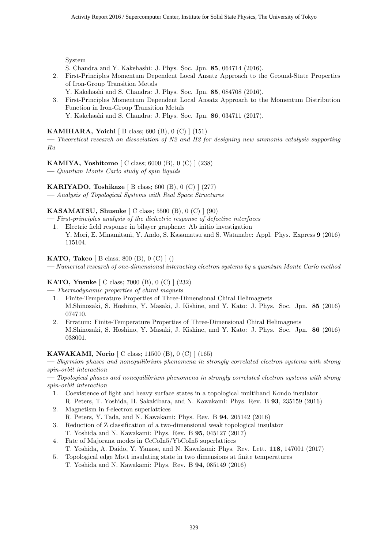System

- S. Chandra and Y. Kakehashi: J. Phys. Soc. Jpn. **85**, 064714 (2016).
- 2. First-Principles Momentum Dependent Local Ansatz Approach to the Ground-State Properties of Iron-Group Transition Metals
	- Y. Kakehashi and S. Chandra: J. Phys. Soc. Jpn. **85**, 084708 (2016).
- 3. First-Principles Momentum Dependent Local Ansatz Approach to the Momentum Distribution Function in Iron-Group Transition Metals Y. Kakehashi and S. Chandra: J. Phys. Soc. Jpn. **86**, 034711 (2017).

#### **KAMIHARA, Yoichi** [ B class; 600 (B), 0 (C) ] (151)

**—** *Theoretical research on dissociation of N2 and H2 for designing new ammonia catalysis supporting Ru*

**KAMIYA, Yoshitomo** [ C class; 6000 (B), 0 (C) ] (238) **—** *Quantum Monte Carlo study of spin liquids*

**KARIYADO, Toshikaze** [ B class; 600 (B), 0 (C) ] (277)

**—** *Analysis of Topological Systems with Real Space Structures*

#### **KASAMATSU, Shusuke** [ C class; 5500 (B), 0 (C) ] (90)

- **—** *First-principles analysis of the dielectric response of defective interfaces*
- 1. Electric field response in bilayer graphene: Ab initio investigation Y. Mori, E. Minamitani, Y. Ando, S. Kasamatsu and S. Watanabe: Appl. Phys. Express **9** (2016) 115104.

#### **KATO, Takeo** [ B class; 800 (B), 0 (C) ] ()

**—** *Numerical research of one-dimensional interacting electron systems by a quantum Monte Carlo method*

#### **KATO, Yusuke** [ C class; 7000 (B), 0 (C) ] (232)

**—** *Thermodynamic properties of chiral magnets*

- 1. Finite-Temperature Properties of Three-Dimensional Chiral Helimagnets M.Shinozaki, S. Hoshino, Y. Masaki, J. Kishine, and Y. Kato: J. Phys. Soc. Jpn. **85** (2016) 074710.
- 2. Erratum: Finite-Temperature Properties of Three-Dimensional Chiral Helimagnets M.Shinozaki, S. Hoshino, Y. Masaki, J. Kishine, and Y. Kato: J. Phys. Soc. Jpn. **86** (2016) 038001.

#### **KAWAKAMI, Norio** [ C class; 11500 (B), 0 (C) ] (165)

**—** *Skyrmion phases and nonequilibrium phenomena in strongly correlated electron systems with strong spin-orbit interaction*

**—** *Topological phases and nonequilibrium phenomena in strongly correlated electron systems with strong spin-orbit interaction*

- 1. Coexistence of light and heavy surface states in a topological multiband Kondo insulator R. Peters, T. Yoshida, H. Sakakibara, and N. Kawakami: Phys. Rev. B **93**, 235159 (2016)
- 2. Magnetism in f-electron superlattices R. Peters, Y. Tada, and N. Kawakami: Phys. Rev. B **94**, 205142 (2016)
- 3. Reduction of Z classification of a two-dimensional weak topological insulator T. Yoshida and N. Kawakami: Phys. Rev. B **95**, 045127 (2017)
- 4. Fate of Majorana modes in CeCoIn5/YbCoIn5 superlattices
- T. Yoshida, A. Daido, Y. Yanase, and N. Kawakami: Phys. Rev. Lett. **118**, 147001 (2017)
- 5. Topological edge Mott insulating state in two dimensions at finite temperatures T. Yoshida and N. Kawakami: Phys. Rev. B **94**, 085149 (2016)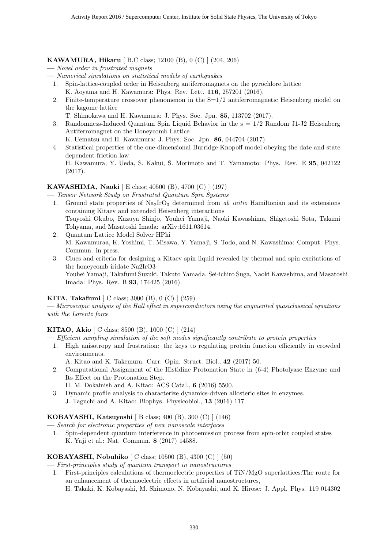#### **KAWAMURA, Hikaru** [ B,C class; 12100 (B), 0 (C) ] (204, 206)

- **—** *Novel order in frustrated magnets*
- **—** *Numerical simulations on statistical models of earthquakes*
- 1. Spin-lattice-coupled order in Heisenberg antiferromagnets on the pyrochlore lattice K. Aoyama and H. Kawamura: Phys. Rev. Lett. **116**, 257201 (2016).
- 2. Finite-temperature crossover phenomenon in the  $S=1/2$  antiferromagnetic Heisenberg model on the kagome lattice
	- T. Shimokawa and H. Kawamura: J. Phys. Soc. Jpn. **85**, 113702 (2017).
- 3. Randomness-Induced Quantum Spin Liquid Behavior in the  $s = 1/2$  Random J1-J2 Heisenberg Antiferromagnet on the Honeycomb Lattice
	- K. Uematsu and H. Kawamura: J. Phys. Soc. Jpn. **86**, 044704 (2017).
- 4. Statistical properties of the one-dimensional Burridge-Knopoff model obeying the date and state dependent friction law

H. Kawamura, Y. Ueda, S. Kakui, S. Morimoto and T. Yamamoto: Phys. Rev. E **95**, 042122 (2017).

#### **KAWASHIMA, Naoki** [ E class; 40500 (B), 4700 (C) ] (197)

**—** *Tensor Network Study on Frustrated Quantum Spin Systems*

- 1. Ground state properties of  $\text{Na}_2\text{IrO}_3$  determined from *ab initio* Hamiltonian and its extensions containing Kitaev and extended Heisenberg interactions Tsuyoshi Okubo, Kazuya Shinjo, Youhei Yamaji, Naoki Kawashima, Shigetoshi Sota, Takami Tohyama, and Masatoshi Imada: arXiv:1611.03614.
- 2. Quantum Lattice Model Solver HPhi M. Kawamuraa, K. Yoshimi, T. Misawa, Y. Yamaji, S. Todo, and N. Kawashima: Comput. Phys. Commun. in press.
- 3. Clues and criteria for designing a Kitaev spin liquid revealed by thermal and spin excitations of the honeycomb iridate Na2IrO3 Youhei Yamaji, Takafumi Suzuki, Takuto Yamada, Sei-ichiro Suga, Naoki Kawashima, and Masatoshi Imada: Phys. Rev. B **93**, 174425 (2016).

#### **KITA, Takafumi** [ C class; 3000 (B), 0 (C) ] (259)

**—** *Microscopic analysis of the Hall effect in superconductors using the augmented quasiclassical equations with the Lorentz force*

#### **KITAO, Akio** [ C class; 8500 (B), 1000 (C) ] (214)

- **—** *Efficient sampling simulation of the soft modes significantly contribute to protein properties*
	- 1. High anisotropy and frustration: the keys to regulating protein function efficiently in crowded environments.
		- A. Kitao and K. Takemura: Curr. Opin. Struct. Biol., **42** (2017) 50.
	- 2. Computational Assignment of the Histidine Protonation State in (6-4) Photolyase Enzyme and Its Effect on the Protonation Step.
		- H. M. Dokainish and A. Kitao: ACS Catal., **6** (2016) 5500.
	- 3. Dynamic profile analysis to characterize dynamics-driven allosteric sites in enzymes. J. Taguchi and A. Kitao: Biophys. Physicobiol., **13** (2016) 117.

#### **KOBAYASHI, Katsuyoshi** [ B class; 400 (B), 300 (C) ] (146)

**—** *Search for electronic properties of new nanoscale interfaces*

1. Spin-dependent quantum interference in photoemission process from spin-orbit coupled states K. Yaji et al.: Nat. Commun. **8** (2017) 14588.

#### **KOBAYASHI, Nobuhiko** [ C class; 10500 (B), 4300 (C) ] (50)

**—** *First-principles study of quantum transport in nanostructures*

- 1. First-principles calculations of thermoelectric properties of TiN/MgO superlattices:The route for an enhancement of thermoelectric effects in artificial nanostructures,
	- H. Takaki, K. Kobayashi, M. Shimono, N. Kobayashi, and K. Hirose: J. Appl. Phys. 119 014302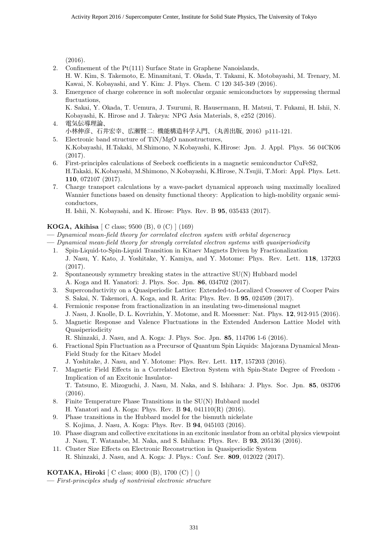(2016).

- 2. Confinement of the Pt(111) Surface State in Graphene Nanoislands, H. W. Kim, S. Takemoto, E. Minamitani, T. Okada, T. Takami, K. Motobayashi, M. Trenary, M. Kawai, N. Kobayashi, and Y. Kim: J. Phys. Chem. C 120 345-349 (2016).
- 3. Emergence of charge coherence in soft molecular organic semiconductors by suppressing thermal fluctuations,

K. Sakai, Y. Okada, T. Uemura, J. Tsurumi, R. Hausermann, H. Matsui, T. Fukami, H. Ishii, N. Kobayashi, K. Hirose and J. Takeya: NPG Asia Materials, 8, e252 (2016).

- 4. 電気伝導理論、 小林伸彦、石井宏幸、広瀬賢二: 機能構造科学入門、(丸善出版, 2016) p111-121.
- 5. Electronic band structure of TiN/MgO nanostructures, K.Kobayashi, H.Takaki, M.Shimono, N.Kobayashi, K.Hirose: Jpn. J. Appl. Phys. 56 04CK06 (2017).
- 6. First-principles calculations of Seebeck coefficients in a magnetic semiconductor CuFeS2, H.Takaki, K.Kobayashi, M.Shimono, N.Kobayashi, K.Hirose, N.Tsujii, T.Mori: Appl. Phys. Lett. **110**, 072107 (2017).
- 7. Charge transport calculations by a wave-packet dynamical approach using maximally localized Wannier functions based on density functional theory: Application to high-mobility organic semiconductors,

H. Ishii, N. Kobayashi, and K. Hirose: Phys. Rev. B **95**, 035433 (2017).

#### **KOGA, Akihisa** [ C class; 9500 (B), 0 (C) ] (169)

- **—** *Dynamical mean-field theory for correlated electron system with orbital degeneracy*
- **—** *Dynamical mean-field theory for strongly correlated electron systems with quasiperiodicity*
	- 1. Spin-Liquid-to-Spin-Liquid Transition in Kitaev Magnets Driven by Fractionalization J. Nasu, Y. Kato, J. Yoshitake, Y. Kamiya, and Y. Motome: Phys. Rev. Lett. **118**, 137203 (2017).
	- 2. Spontaneously symmetry breaking states in the attractive SU(N) Hubbard model A. Koga and H. Yanatori: J. Phys. Soc. Jpn. **86**, 034702 (2017).
	- 3. Superconductivity on a Quasiperiodic Lattice: Extended-to-Localized Crossover of Cooper Pairs S. Sakai, N. Takemori, A. Koga, and R. Arita: Phys. Rev. B **95**, 024509 (2017).
	- 4. Fermionic response from fractionalization in an insulating two-dimensional magnet J. Nasu, J. Knolle, D. L. Kovrizhin, Y. Motome, and R. Moessner: Nat. Phys. **12**, 912-915 (2016).
	- 5. Magnetic Response and Valence Fluctuations in the Extended Anderson Lattice Model with Quasiperiodicity
		- R. Shinzaki, J. Nasu, and A. Koga: J. Phys. Soc. Jpn. **85**, 114706 1-6 (2016).
	- 6. Fractional Spin Fluctuation as a Precursor of Quantum Spin Liquids: Majorana Dynamical Mean-Field Study for the Kitaev Model
		- J. Yoshitake, J. Nasu, and Y. Motome: Phys. Rev. Lett. **117**, 157203 (2016).
	- 7. Magnetic Field Effects in a Correlated Electron System with Spin-State Degree of Freedom Implication of an Excitonic Insulator-T. Tatsuno, E. Mizoguchi, J. Nasu, M. Naka, and S. Ishihara: J. Phys. Soc. Jpn. **85**, 083706 (2016).
	- 8. Finite Temperature Phase Transitions in the SU(N) Hubbard model H. Yanatori and A. Koga: Phys. Rev. B **94**, 041110(R) (2016).
	- 9. Phase transitions in the Hubbard model for the bismuth nickelate S. Kojima, J. Nasu, A. Koga: Phys. Rev. B **94**, 045103 (2016).
	- 10. Phase diagram and collective excitations in an excitonic insulator from an orbital physics viewpoint J. Nasu, T. Watanabe, M. Naka, and S. Ishihara: Phys. Rev. B **93**, 205136 (2016).
	- 11. Cluster Size Effects on Electronic Reconstruction in Quasiperiodic System R. Shinzaki, J. Nasu, and A. Koga: J. Phys.: Conf. Ser. **809**, 012022 (2017).

**KOTAKA, Hiroki** [ C class; 4000 (B), 1700 (C) ] ()

**—** *First-principles study of nontrivial electronic structure*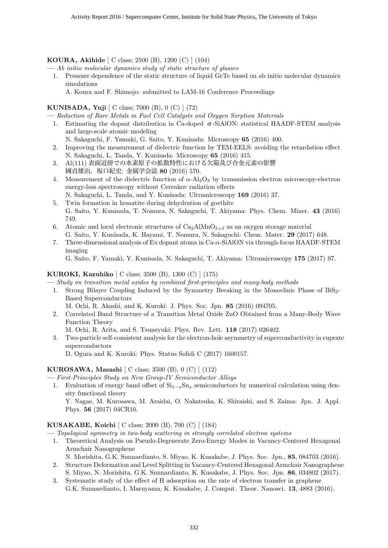#### **KOURA, Akihide** [ C class; 2500 (B), 1200 (C) ] (104)

**—** *Ab initio molecular dynamics study of static structure of glasses*

- 1. Pressure dependence of the static structure of liquid GeTe based on ab initio molecular dynamics simulations
	- A. Koura and F. Shimojo: submitted to LAM-16 Conference Proceedings

#### **KUNISADA, Yuji** [ C class; 7000 (B), 0 (C) ] (72)

**—** *Reduction of Rare Metals in Fuel Cell Catalysts and Oxygen Sorption Materials*

- 1. Estimating the dopant distribution in Ca-doped  $\alpha$ -SiAlON: statistical HAADF-STEM analysis and large-scale atomic modeling
	- N. Sakaguchi, F. Yamaki, G. Saito, Y. Kunisada: Microscopy **65** (2016) 400.
- 2. Improving the measurement of dielectric function by TEM-EELS: avoiding the retardation effect N. Sakaguchi, L. Tanda, Y. Kunisada: Microscopy **65** (2016) 415.
- 3. Al(111) 表面近傍での水素原子の拡散特性における欠陥及び合金元素の影響 國貞雄治,坂口紀史: 金属学会誌 **80** (2016) 570.
- 4. Measurement of the dielectric function of *α*-Al2O<sup>3</sup> by transmission electron microscopy-electron energy-loss spectroscopy without Cerenkov radiation effects N. Sakaguchi, L. Tanda, and Y. Kunisada: Ultramicroscopy **169** (2016) 37.
- 5. Twin formation in hematite during dehydration of goethite G. Saito, Y. Kunisada, T. Nomura, N. Sakaguchi, T. Akiyama: Phys. Chem. Miner. **43** (2016) 749.
- 6. Atomic and local electronic structures of  $Ca_2AlMnO_{5+\delta}$  as an oxygen storage material G. Saito, Y. Kunisada, K. Hayami, T. Nomura, N. Sakaguchi: Chem. Mater. **29** (2017) 648.
- 7. Three-dimensional analysis of Eu dopant atoms in Ca-*α*-SiAlON via through-focus HAADF-STEM imaging

G. Saito, F. Yamaki, Y. Kunisada, N. Sakaguchi, T. Akiyama: Ultramicroscopy **175** (2017) 97.

#### **KUROKI, Kazuhiko** [ C class; 3500 (B), 1300 (C) ] (175)

- **—** *Study on transition metal oxides by combined first-principles and many-body methods*
	- 1. Strong Bilayer Coupling Induced by the Symmetry Breaking in the Monoclinic Phase of BiS2- Based Superconductors

M. Ochi, R. Akashi, and K. Kuroki: J. Phys. Soc. Jpn. **85** (2016) 094705.

2. Correlated Band Structure of a Transition Metal Oxide ZnO Obtained from a Many-Body Wave Function Theory

M. Ochi, R. Arita, and S. Tsuneyuki: Phys. Rev. Lett. **118** (2017) 026402.

3. Two-particle self-consistent analysis for the electron-hole asymmetry of superconductivity in cuprate superconductors

D. Ogura and K. Kuroki: Phys. Status Solidi C (2017) 1600157.

#### **KUROSAWA, Masashi** [ C class; 3500 (B), 0 (C) ] (112)

- **—** *First-Principles Study on New Group-IV Semiconductor Alloys*
- 1. Evaluation of energy band offset of Si<sup>1</sup>*−<sup>x</sup>*Sn*<sup>x</sup>* semiconductors by numerical calculation using density functional theory Y. Nagae, M. Kurosawa, M. Araidai, O. Nakatsuka, K. Shiraishi, and S. Zaima: Jpn. J. Appl.

Phys. **56** (2017) 04CR10.

#### **KUSAKABE, Koichi** [ C class; 2000 (B), 700 (C) ] (184)

**—** *Topological symmetry in two-body scattering in strongly correlated electron systems*

- 1. Theoretical Analysis on Pseudo-Degenerate Zero-Energy Modes in Vacancy-Centered Hexagonal Armchair Nanographene
- N. Morishita, G.K. Sunnardianto, S. Miyao, K. Kusakabe, J. Phys. Soc. Jpn., **85**, 084703 (2016). 2. Structure Deformation and Level Splitting in Vacancy-Centered Hexagonal Armchair Nanographene
- S. Miyao, N. Morishita, G.K. Sunnardianto, K. Kusakabe, J. Phys. Soc. Jpn. **86**, 034802 (2017). 3. Systematic study of the effect of H adsorption on the rate of electron transfer in graphene
- G.K. Sunnardianto, I. Maruyama, K. Kusakabe, J. Comput. Theor. Nanosci. **13**, 4883 (2016).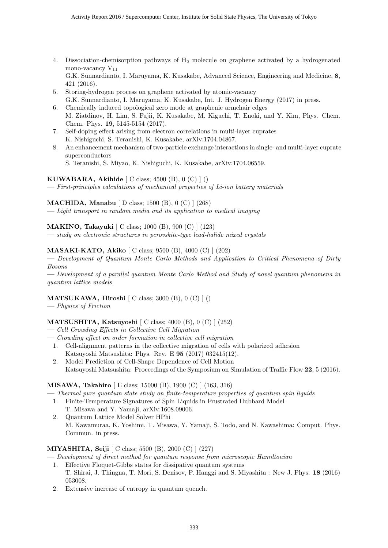4. Dissociation-chemisorption pathways of H<sup>2</sup> molecule on graphene activated by a hydrogenated mono-vacancy  $V_{11}$ 

G.K. Sunnardianto, I. Maruyama, K. Kusakabe, Advanced Science, Engineering and Medicine, **8**, 421 (2016).

- 5. Storing-hydrogen process on graphene activated by atomic-vacancy G.K. Sunnardianto, I. Maruyama, K. Kusakabe, Int. J. Hydrogen Energy (2017) in press.
- 6. Chemically induced topological zero mode at graphenic armchair edges M. Ziatdinov, H. Lim, S. Fujii, K. Kusakabe, M. Kiguchi, T. Enoki, and Y. Kim, Phys. Chem. Chem. Phys. **19**, 5145-5154 (2017).
- 7. Self-doping effect arising from electron correlations in multi-layer cuprates K. Nishiguchi, S. Teranishi, K. Kusakabe, arXiv:1704.04867.
- 8. An enhancement mechanism of two-particle exchange interactions in single- and multi-layer cuprate superconductors
	- S. Teranishi, S. Miyao, K. Nishiguchi, K. Kusakabe, arXiv:1704.06559.

#### **KUWABARA, Akihide** [ C class; 4500 (B), 0 (C) ] ()

**—** *First-principles calculations of mechanical properties of Li-ion battery materials*

#### **MACHIDA, Manabu** [ D class; 1500 (B), 0 (C) ] (268)

**—** *Light transport in random media and its application to medical imaging*

#### **MAKINO, Takayuki** [ C class; 1000 (B), 900 (C) ] (123)

**—** *study on electronic structures in perovskite-type lead-halide mixed crystals*

#### **MASAKI-KATO, Akiko** [ C class; 9500 (B), 4000 (C) ] (202)

**—** *Development of Quantum Monte Carlo Methods and Application to Critical Phenomena of Dirty Bosons*

**—** *Development of a parallel quantum Monte Carlo Method and Study of novel quantum phenomena in quantum lattice models*

#### **MATSUKAWA, Hiroshi** [ C class; 3000 (B), 0 (C) ] ()

**—** *Physics of Friction*

#### **MATSUSHITA, Katsuyoshi** [ C class; 4000 (B), 0 (C) ] (252)

- **—** *Cell Crowding Effects in Collective Cell Migration*
- **—** *Crowding effect on order formation in collective cell migration*
	- 1. Cell-alignment patterns in the collective migration of cells with polarized adhesion Katsuyoshi Matsushita: Phys. Rev. E **95** (2017) 032415(12).
	- 2. Model Prediction of Cell-Shape Dependence of Cell Motion Katsuyoshi Matsushita: Proceedings of the Symposium on Simulation of Traffic Flow **22**, 5 (2016).

#### **MISAWA, Takahiro** [ E class; 15000 (B), 1900 (C) ] (163, 316)

**—** *Thermal pure quantum state study on finite-temperature properties of quantum spin liquids*

- 1. Finite-Temperature Signatures of Spin Liquids in Frustrated Hubbard Model
- T. Misawa and Y. Yamaji, arXiv:1608.09006.
- 2. Quantum Lattice Model Solver HPhi M. Kawamuraa, K. Yoshimi, T. Misawa, Y. Yamaji, S. Todo, and N. Kawashima: Comput. Phys. Commun. in press.

#### **MIYASHITA, Seiji** [ C class; 5500 (B), 2000 (C) ] (227)

**—** *Development of direct method for quantum response from microscopic Hamiltonian*

- 1. Effective Floquet-Gibbs states for dissipative quantum systems T. Shirai, J. Thingna, T. Mori, S. Denisov, P. Hanggi and S. Miyashita : New J. Phys. **18** (2016) 053008.
- 2. Extensive increase of entropy in quantum quench.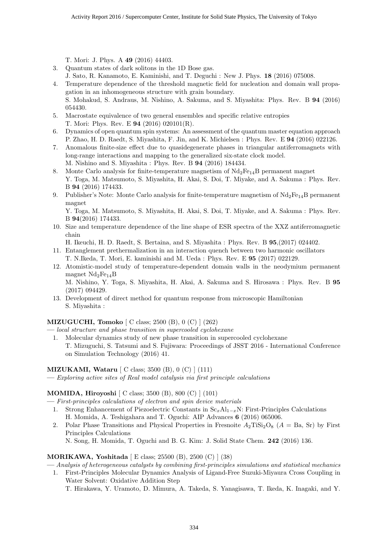T. Mori: J. Phys. A **49** (2016) 44403.

- 3. Quantum states of dark solitons in the 1D Bose gas.
- J. Sato, R. Kanamoto, E. Kaminishi, and T. Deguchi : New J. Phys. **18** (2016) 075008.
- 4. Temperature dependence of the threshold magnetic field for nucleation and domain wall propagation in an inhomogeneous structure with grain boundary. S. Mohakud, S. Andraus, M. Nishino, A. Sakuma, and S. Miyashita: Phys. Rev. B **94** (2016) 054430.
- 5. Macrostate equivalence of two general ensembles and specific relative entropies T. Mori: Phys. Rev. E **94** (2016) 020101(R).
- 6. Dynamics of open quantum spin systems: An assessment of the quantum master equation approach P. Zhao, H. D. Raedt, S. Miyashita, F. Jin, and K. Michielsen : Phys. Rev. E **94** (2016) 022126.
- 7. Anomalous finite-size effect due to quasidegenerate phases in triangular antiferromagnets with long-range interactions and mapping to the generalized six-state clock model. M. Nishino and S. Miyashita : Phys. Rev. B **94** (2016) 184434.
- 8. Monte Carlo analysis for finite-temperature magnetism of  $Nd_2Fe_{14}B$  permanent magnet Y. Toga, M. Matsumoto, S. Miyashita, H. Akai, S. Doi, T. Miyake, and A. Sakuma : Phys. Rev. B **94** (2016) 174433.
- 9. Publisher's Note: Monte Carlo analysis for finite-temperature magnetism of  $Nd_2Fe_{14}B$  permanent magnet

Y. Toga, M. Matsumoto, S. Miyashita, H. Akai, S. Doi, T. Miyake, and A. Sakuma : Phys. Rev. B **94**(2016) 174433.

10. Size and temperature dependence of the line shape of ESR spectra of the XXZ antiferromagnetic chain

H. Ikeuchi, H. D. Raedt, S. Bertaina, and S. Miyashita : Phys. Rev. B **95**,(2017) 024402.

- 11. Entanglement prethermalization in an interaction quench between two harmonic oscillators T. N.Ikeda, T. Mori, E. kaminishi and M. Ueda : Phys. Rev. E **95** (2017) 022129.
- 12. Atomistic-model study of temperature-dependent domain walls in the neodymium permanent magnet  $Nd_2Fe_{14}B$

M. Nishino, Y. Toga, S. Miyashita, H. Akai, A. Sakuma and S. Hirosawa : Phys. Rev. B **95** (2017) 094429.

13. Development of direct method for quantum response from microscopic Hamiltonian S. Miyashita :

#### **MIZUGUCHI, Tomoko** [ C class; 2500 (B), 0 (C) ] (262)

- **—** *local structure and phase transition in supercooled cyclohexane*
	- 1. Molecular dynamics study of new phase transition in supercooled cyclohexane T. Mizuguchi, S. Tatsumi and S. Fujiwara: Proceedings of JSST 2016 - International Conference on Simulation Technology (2016) 41.

#### **MIZUKAMI, Wataru** [ C class; 3500 (B), 0 (C) ] (111)

**—** *Exploring active sites of Real model catalysis via first principle calculations*

#### **MOMIDA, Hiroyoshi** [ C class; 3500 (B), 800 (C) ] (101)

- **—** *First-principles calculations of electron and spin device materials*
- 1. Strong Enhancement of Piezoelectric Constants in Sc*x*Al<sup>1</sup>*−<sup>x</sup>*N: First-Principles Calculations H. Momida, A. Teshigahara and T. Oguchi: AIP Advances **6** (2016) 065006.
- 2. Polar Phase Transitions and Physical Properties in Fresnoite  $A_2$ TiSi<sub>2</sub>O<sub>8</sub> ( $A = Ba$ , Sr) by First Principles Calculations

N. Song, H. Momida, T. Oguchi and B. G. Kim: J. Solid State Chem. **242** (2016) 136.

#### **MORIKAWA, Yoshitada** [ E class; 25500 (B), 2500 (C) ] (38)

**—** *Analysis of heterogeneous catalysts by combining first-principles simulations and statistical mechanics*

1. First-Principles Molecular Dynamics Analysis of Ligand-Free Suzuki-Miyaura Cross Coupling in Water Solvent: Oxidative Addition Step

T. Hirakawa, Y. Uramoto, D. Mimura, A. Takeda, S. Yanagisawa, T. Ikeda, K. Inagaki, and Y.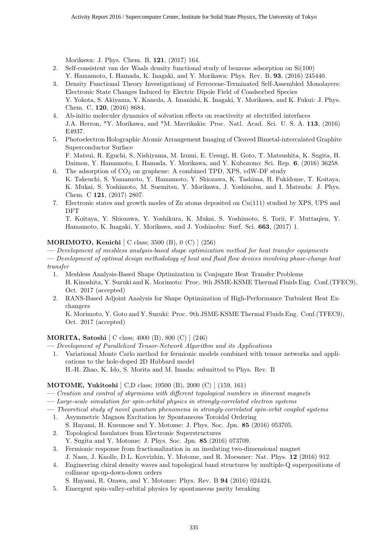Morikawa: J. Phys. Chem. B, **121**, (2017) 164.

- 2. Self-consistent van der Waals density functional study of benzene adsorption on Si(100) Y. Hamamoto, I. Hamada, K. Inagaki, and Y. Morikawa: Phys. Rev. B, **93**, (2016) 245440.
- 3. Density Functional Theory Investigationsj of Ferrocene-Terminated Self-Assembled Monolayers: Electronic State Changes Induced by Electric Dipole Field of Coadsorbed Species Y. Yokota, S. Akiyama, Y. Kaneda, A. Imanishi, K. Inagaki, Y. Morikawa, and K. Fukui: J. Phys. Chem. C, **120**, (2016) 8684.
- 4. Ab-initio moleculer dynamics of solvation effects on reactiveity at electrified interfaces J.A. Herron, \*Y. Morikawa, and \*M. Mavrikakis: Proc. Natl. Acad. Sci. U. S. A. **113**, (2016) E4937.
- 5. Photoelectron Holographic Atomic Arrangement Imaging of Cleaved Bimetal-intercalated Graphite Superconductor Surface F. Matsui, R. Eguchi, S. Nishiyama, M. Izumi, E. Uesugi, H. Goto, T. Matsushita, K. Sugita, H.

Daimon, Y. Hamamoto, I. Hamada, Y. Morikawa, and Y. Kubozono: Sci. Rep. **6**, (2016) 36258. 6. The adsorption of  $CO<sub>2</sub>$  on graphene: A combined TPD, XPS, vdW-DF study

- K. Takeuchi, S. Yamamoto, Y. Hamamoto, Y. Shiozawa, K. Tashima, H. Fukidome, T. Koitaya, K. Mukai, S. Yoshimoto, M. Suemitsu, Y. Morikawa, J. Yoshinobu, and I. Matsuda: J. Phys. Chem. C **121**, (2017) 2807.
- 7. Electronic states and growth modes of Zn atoms deposited on Cu(111) studied by XPS, UPS and DFT

T. Koitaya, Y. Shiozawa, Y. Yoshikura, K. Mukai, S. Yoshimoto, S. Torii, F. Muttaqien, Y. Hamamoto, K. Inagaki, Y. Morikawa, and J. Yoshinobu: Surf. Sci. **663**, (2017) 1.

#### **MORIMOTO, Kenichi** [ C class; 3500 (B), 0 (C) ] (256)

**—** *Development of meshless analysis-based shape optimization method for heat transfer equipments*

- **—** *Development of optimal design methodology of heat and fluid flow devices involving phase-change heat transfer*
	- 1. Meshless Analysis-Based Shape Optimization in Conjugate Heat Transfer Problems H. Kinoshita, Y. Suzuki and K. Morimoto: Proc. 9th JSME-KSME Thermal Fluids Eng. Conf.(TFEC9), Oct. 2017 (accepted)
	- 2. RANS-Based Adjoint Analysis for Shape Optimization of High-Performance Turbulent Heat Exchangers

K. Morimoto, Y. Goto and Y. Suzuki: Proc. 9th JSME-KSME Thermal Fluids Eng. Conf.(TFEC9), Oct. 2017 (accepted)

#### **MORITA, Satoshi** [ C class; 4000 (B), 800 (C) ] (246)

**—** *Development of Parallelized Tensor-Network Algorithm and its Applications*

1. Variational Monte Carlo method for fermionic models combined with tensor networks and applications to the hole-doped 2D Hubbard model

H.-H. Zhao, K. Ido, S. Morita and M. Imada: submitted to Phys. Rev. B

#### **MOTOME, Yukitoshi** [ C,D class; 19500 (B), 2000 (C) ] (159, 161)

- **—** *Creation and control of skyrmions with different topological numbers in itinerant magnets*
- **—** *Large-scale simulation for spin-orbital physics in strongly-correlated electron systems*
- **—** *Theoretical study of novel quantum phenomena in strongly-correlated spin-orbit coupled systems*
- 1. Asymmetric Magnon Excitation by Spontaneous Toroidal Ordering S. Hayami, H. Kusunose and Y. Motome: J. Phys. Soc. Jpn. **85** (2016) 053705.
- 2. Topological Insulators from Electronic Superstructures Y. Sugita and Y. Motome: J. Phys. Soc. Jpn. **85** (2016) 073709.
- 3. Fermionic response from fractionalization in an insulating two-dimensional magnet J. Nasu, J. Knolle, D.L. Kovrizhin, Y. Motome, and R. Moessner: Nat. Phys. **12** (2016) 912.
- 4. Engineering chiral density waves and topological band structures by multiple-Q superpositions of collinear up-up-down-down orders
- S. Hayami, R. Ozawa, and Y. Motome: Phys. Rev. B **94** (2016) 024424.
- 5. Emergent spin-valley-orbital physics by spontaneous parity breaking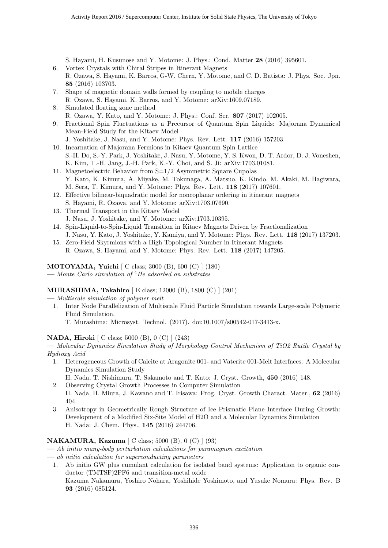S. Hayami, H. Kusunose and Y. Motome: J. Phys.: Cond. Matter **28** (2016) 395601.

- 6. Vortex Crystals with Chiral Stripes in Itinerant Magnets R. Ozawa, S. Hayami, K. Barros, G-W. Chern, Y. Motome, and C. D. Batista: J. Phys. Soc. Jpn. **85** (2016) 103703.
- 7. Shape of magnetic domain walls formed by coupling to mobile charges R. Ozawa, S. Hayami, K. Barros, and Y. Motome: arXiv:1609.07189.
- 8. Simulated floating zone method R. Ozawa, Y. Kato, and Y. Motome: J. Phys.: Conf. Ser. **807** (2017) 102005.
- 9. Fractional Spin Fluctuations as a Precursor of Quantum Spin Liquids: Majorana Dynamical Mean-Field Study for the Kitaev Model
	- J. Yoshitake, J. Nasu, and Y. Motome: Phys. Rev. Lett. **117** (2016) 157203.
- 10. Incarnation of Majorana Fermions in Kitaev Quantum Spin Lattice S.-H. Do, S.-Y. Park, J. Yoshitake, J. Nasu, Y. Motome, Y. S. Kwon, D. T. Ardor, D. J. Voneshen, K. Kim, T.-H. Jang, J.-H. Park, K.-Y. Choi, and S. Ji: arXiv:1703.01081.
- 11. Magnetoelectric Behavior from S=1/2 Asymmetric Square Cupolas Y. Kato, K. Kimura, A. Miyake, M. Tokunaga, A. Matsuo, K. Kindo, M. Akaki, M. Hagiwara, M. Sera, T. Kimura, and Y. Motome: Phys. Rev. Lett. **118** (2017) 107601.
- 12. Effective bilinear-biquadratic model for noncoplanar ordering in itinerant magnets S. Hayami, R. Ozawa, and Y. Motome: arXiv:1703.07690.
- 13. Thermal Transport in the Kitaev Model J. Nasu, J. Yoshitake, and Y. Motome: arXiv:1703.10395.
- 14. Spin-Liquid-to-Spin-Liquid Transition in Kitaev Magnets Driven by Fractionalization J. Nasu, Y. Kato, J. Yoshitake, Y. Kamiya, and Y. Motome: Phys. Rev. Lett. **118** (2017) 137203.
- 15. Zero-Field Skyrmions with a High Topological Number in Itinerant Magnets R. Ozawa, S. Hayami, and Y. Motome: Phys. Rev. Lett. **118** (2017) 147205.

#### **MOTOYAMA, Yuichi** [ C class; 3000 (B), 600 (C) ] (180)

**—** *Monte Carlo simulation of* <sup>4</sup>*He adsorbed on substrates*

#### **MURASHIMA, Takahiro** [ E class; 12000 (B), 1800 (C) ] (201)

**—** *Multiscale simulation of polymer melt*

- 1. Inter Node Parallelization of Multiscale Fluid Particle Simulation towards Large-scale Polymeric Fluid Simulation.
	- T. Murashima: Microsyst. Technol. (2017). doi:10.1007/s00542-017-3413-x.

#### **NADA, Hiroki** [ C class; 5000 (B), 0 (C) ] (243)

**—** *Molecular Dynamics Simulation Study of Morphology Control Mechanism of TiO2 Rutile Crystal by Hydroxy Acid*

- 1. Heterogeneous Growth of Calcite at Aragonite 001- and Vaterite 001-Melt Interfaces: A Molecular Dynamics Simulation Study
- H. Nada, T. Nishimura, T. Sakamoto and T. Kato: J. Cryst. Growth, **450** (2016) 148. 2. Observing Crystal Growth Processes in Computer Simulation
- H. Nada, H. Miura, J. Kawano and T. Irisawa: Prog. Cryst. Growth Charact. Mater., **62** (2016) 404.
- 3. Anisotropy in Geometrically Rough Structure of Ice Prismatic Plane Interface During Growth: Development of a Modified Six-Site Model of H2O and a Molecular Dynamics Simulation H. Nada: J. Chem. Phys., **145** (2016) 244706.

#### **NAKAMURA, Kazuma** [ C class; 5000 (B), 0 (C) ] (93)

**—** *Ab initio many-body perturbation calculations for paramagnon excitation*

- **—** *ab initio calculation for superconducting parameters*
- 1. Ab initio GW plus cumulant calculation for isolated band systems: Application to organic conductor (TMTSF)2PF6 and transition-metal oxide Kazuma Nakamura, Yoshiro Nohara, Yoshihide Yoshimoto, and Yusuke Nomura: Phys. Rev. B **93** (2016) 085124.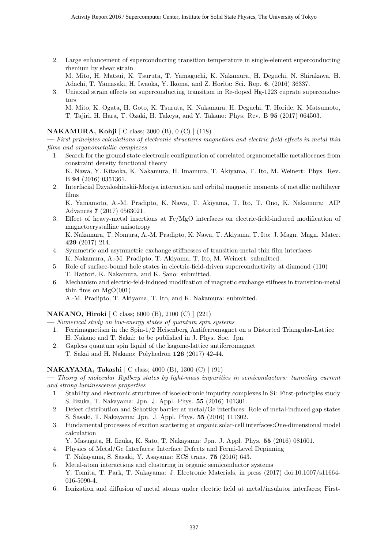- 2. Large enhancement of superconducting transition temperature in single-element superconducting rhenium by shear strain M. Mito, H. Matsui, K. Tsuruta, T. Yamaguchi, K. Nakamura, H. Deguchi, N. Shirakawa, H. Adachi, T. Yamasaki, H. Iwaoka, Y. Ikoma, and Z. Horita: Sci. Rep. **6**, (2016) 36337.
- 3. Uniaxial strain effects on superconducting transition in Re-doped Hg-1223 cuprate superconductors M. Mito, K. Ogata, H. Goto, K. Tsuruta, K. Nakamura, H. Deguchi, T. Horide, K. Matsumoto,

#### **NAKAMURA, Kohji** [ C class; 3000 (B), 0 (C) ] (118)

**—** *First principles calculations of electronic structures magnetism and electric field effects in metal thin films and organometallic complexes*

T. Tajiri, H. Hara, T. Ozaki, H. Takeya, and Y. Takano: Phys. Rev. B **95** (2017) 064503.

1. Search for the ground state electronic configuration of correlated organometallic metallocenes from constraint density functional theory

K. Nawa, Y. Kitaoka, K. Nakamura, H. Imamura, T. Akiyama, T. Ito, M. Weinert: Phys. Rev. B **94** (2016) 0351361.

2. Interfacial Dzyaloshinskii-Moriya interaction and orbital magnetic moments of metallic multilayer films

K. Yamamoto, A.-M. Pradipto, K. Nawa, T. Akiyama, T. Ito, T. Ono, K. Nakamura: AIP Advances **7** (2017) 0563021.

- 3. Effect of heavy-metal insertions at Fe/MgO interfaces on electric-field-induced modification of magnetocrystalline anisotropy K. Nakamura, T. Nomura, A.-M. Pradipto, K. Nawa, T. Akiyama, T. Ito: J. Magn. Magn. Mater. **429** (2017) 214.
- 4. Symmetric and asymmetric exchange stiffnesses of transition-metal thin film interfaces K. Nakamura, A.-M. Pradipto, T. Akiyama, T. Ito, M. Weinert: submitted.
- 5. Role of surface-bound hole states in electric-field-driven superconductivity at diamond (110) T. Hattori, K. Nakamura, and K. Sano: submitted.
- 6. Mechanism and electric-feld-induced modifcation of magnetic exchange stifness in transition-metal thin films on  $MgO(001)$ A.-M. Pradipto, T. Akiyama, T. Ito, and K. Nakamura: submitted.

#### **NAKANO, Hiroki** [ C class; 6000 (B), 2100 (C) ] (221)

**—** *Numerical study on low-energy states of quantum spin systems*

- 1. Ferrimagnetism in the Spin-1/2 Heisenberg Antiferromagnet on a Distorted Triangular-Lattice H. Nakano and T. Sakai: to be published in J. Phys. Soc. Jpn.
- 2. Gapless quantum spin liquid of the kagome-lattice antiferromagnet T. Sakai and H. Nakano: Polyhedron **126** (2017) 42-44.

#### **NAKAYAMA, Takashi** [ C class; 4000 (B), 1300 (C) ] (91)

**—** *Theory of molecular Rydberg states by light-mass impurities in semiconductors: tunneling current and strong luminescence properties*

- 1. Stability and electronic structures of isoelectronic impurity complexes in Si: First-principles study S. Iizuka, T. Nakayama: Jpn. J. Appl. Phys. **55** (2016) 101301.
- 2. Defect distribution and Schottky barrier at metal/Ge interfaces: Role of metal-induced gap states S. Sasaki, T. Nakayama: Jpn. J. Appl. Phys. **55** (2016) 111302.
- 3. Fundamental processes of exciton scattering at organic solar-cell interfaces:One-dimensional model calculation

Y. Masugata, H. Iizuka, K. Sato, T. Nakayama: Jpn. J. Appl. Phys. **55** (2016) 081601.

- 4. Physics of Metal/Ge Interfaces; Interface Defects and Fermi-Level Depinning T. Nakayama, S. Sasaki, Y. Asayama: ECS trans. **75** (2016) 643.
- 5. Metal-atom interactions and clustering in organic semiconductor systems Y. Tomita, T. Park, T. Nakayama: J. Electronic Materials, in press (2017) doi:10.1007/s11664- 016-5090-4.
- 6. Ionization and diffusion of metal atoms under electric field at metal/insulator interfaces; First-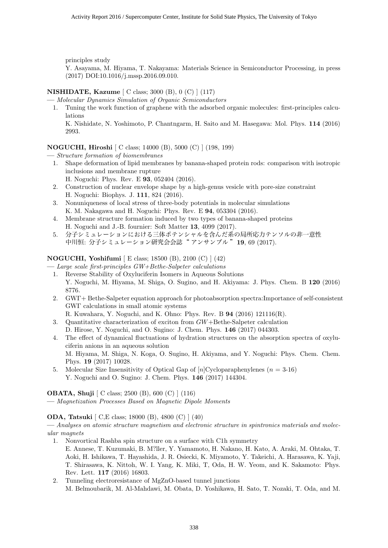principles study

Y. Asayama, M. Hiyama, T. Nakayama: Materials Science in Semiconductor Processing, in press (2017) DOI:10.1016/j.mssp.2016.09.010.

#### **NISHIDATE, Kazume** [ C class; 3000 (B), 0 (C) ] (117)

- **—** *Molecular Dynamics Simulation of Organic Semiconductors*
- 1. Tuning the work function of graphene with the adsorbed organic molecules: first-principles calculations

K. Nishidate, N. Yoshimoto, P. Chantngarm, H. Saito and M. Hasegawa: Mol. Phys. **114** (2016) 2993.

#### **NOGUCHI, Hiroshi** [ C class; 14000 (B), 5000 (C) ] (198, 199)

- **—** *Structure formation of biomembranes*
	- 1. Shape deformation of lipid membranes by banana-shaped protein rods: comparison with isotropic inclusions and membrane rupture
		- H. Noguchi: Phys. Rev. E **93**, 052404 (2016).
	- 2. Construction of nuclear envelope shape by a high-genus vesicle with pore-size constraint H. Noguchi: Biophys. J. **111**, 824 (2016).
	- 3. Nonuniqueness of local stress of three-body potentials in molecular simulations K. M. Nakagawa and H. Noguchi: Phys. Rev. E **94**, 053304 (2016).
	- 4. Membrane structure formation induced by two types of banana-shaped proteins H. Noguchi and J.-B. fournier: Soft Matter **13**, 4099 (2017).
	- 5. 分子シミュレーションにおける三体ポテンシャルを含んだ系の局所応力テンソルの非一意性 中川恒: 分子シミュレーション研究会会誌" アンサンブル "**19**, 69 (2017).

#### **NOGUCHI, Yoshifumi** [ E class; 18500 (B), 2100 (C) ] (42)

**—** *Large scale first-principles GW+Bethe-Salpeter calculations*

- 1. Reverse Stability of Oxyluciferin Isomers in Aqueous Solutions Y. Noguchi, M. Hiyama, M. Shiga, O. Sugino, and H. Akiyama: J. Phys. Chem. B **120** (2016) 8776.
- 2. GWΓ+ Bethe-Salpeter equation approach for photoabsorption spectra:Importance of self-consistent GWΓ calculations in small atomic systems

R. Kuwahara, Y. Noguchi, and K. Ohno: Phys. Rev. B **94** (2016) 121116(R).

- 3. Quantitative characterization of exciton from *GW*+Bethe-Salpeter calculation D. Hirose, Y. Noguchi, and O. Sugino: J. Chem. Phys. **146** (2017) 044303.
- 4. The effect of dynamical fluctuations of hydration structures on the absorption spectra of oxyluciferin anions in an aqueous solution M. Hiyama, M. Shiga, N. Koga, O. Sugino, H. Akiyama, and Y. Noguchi: Phys. Chem. Chem. Phys. **19** (2017) 10028.
- 5. Molecular Size Insensitivity of Optical Gap of [*n*]Cycloparaphenylenes (*n* = 3-16) Y. Noguchi and O. Sugino: J. Chem. Phys. **146** (2017) 144304.

**OBATA, Shuji** [ C class; 2500 (B), 600 (C) ] (116) **—** *Magnetization Processes Based on Magnetic Dipole Moments*

**ODA, Tatsuki** [ C,E class; 18000 (B), 4800 (C) ] (40)

- 1. Nonvortical Rashba spin structure on a surface with C1h symmetry E. Annese, T. Kuzumaki, B. M?ller, Y. Yamamoto, H. Nakano, H. Kato, A. Araki, M. Ohtaka, T. Aoki, H. Ishikawa, T. Hayashida, J. R. Osiecki, K. Miyamoto, Y. Takeichi, A. Harasawa, K. Yaji, T. Shirasawa, K. Nittoh, W. I. Yang, K. Miki, T, Oda, H. W. Yeom, and K. Sakamoto: Phys. Rev. Lett. **117** (2016) 16803.
- 2. Tunneling electroresistance of MgZnO-based tunnel junctions M. Belmoubarik, M. Al-Mahdawi, M. Obata, D. Yoshikawa, H. Sato, T. Nozaki, T. Oda, and M.

**<sup>—</sup>** *Analyses on atomic structure magnetism and electronic structure in spintronics materials and molecular magnets*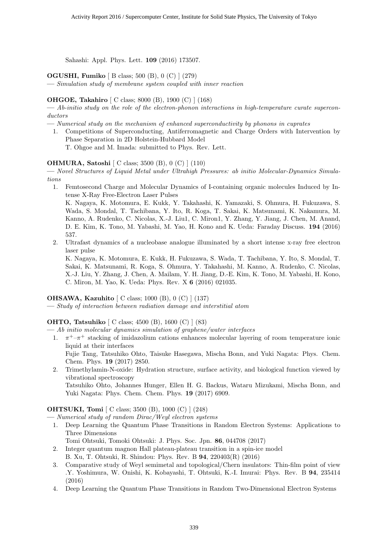Sahashi: Appl. Phys. Lett. **109** (2016) 173507.

**OGUSHI, Fumiko** [ B class; 500 (B), 0 (C) ] (279)

**—** *Simulation study of membrane system coupled with inner reaction*

#### **OHGOE, Takahiro** [ C class; 8000 (B), 1900 (C) ] (168)

**—** *Ab-initio study on the role of the electron-phonon interactions in high-temperature curate superconductors*

- **—** *Numerical study on the mechanism of enhanced superconductivity by phonons in cuprates*
- 1. Competitions of Superconducting, Antiferromagnetic and Charge Orders with Intervention by Phase Separation in 2D Holstein-Hubbard Model T. Ohgoe and M. Imada: submitted to Phys. Rev. Lett.

#### **OHMURA, Satoshi** [ C class; 3500 (B), 0 (C) ] (110)

**—** *Novel Structures of Liquid Metal under Ultrahigh Pressures: ab initio Molecular-Dynamics Simulations*

1. Femtosecond Charge and Molecular Dynamics of I-containing organic molecules Induced by Intense X-Ray Free-Electron Laser Pulses

K. Nagaya, K. Motomura, E. Kukk, Y. Takahashi, K. Yamazaki, S. Ohmura, H. Fukuzawa, S. Wada, S. Mondal, T. Tachibana, Y. Ito, R. Koga, T. Sakai, K. Matsunami, K. Nakamura, M. Kanno, A. Rudenko, C. Nicolas, X.-J. Liu1, C. Miron1, Y. Zhang, Y. Jiang, J. Chen, M. Anand, D. E. Kim, K. Tono, M. Yabashi, M. Yao, H. Kono and K. Ueda: Faraday Discuss. **194** (2016) 537.

2. Ultrafast dynamics of a nucleobase analogue illuminated by a short intense x-ray free electron laser pulse

K. Nagaya, K. Motomura, E. Kukk, H. Fukuzawa, S. Wada, T. Tachibana, Y. Ito, S. Mondal, T. Sakai, K. Matsunami, R. Koga, S. Ohmura, Y. Takahashi, M. Kanno, A. Rudenko, C. Nicolas, X.-J. Liu, Y. Zhang, J. Chen, A. Mailam, Y. H. Jiang, D.-E. Kim, K. Tono, M. Yabashi, H. Kono, C. Miron, M. Yao, K. Ueda: Phys. Rev. X **6** (2016) 021035.

#### **OHSAWA, Kazuhito** [ C class; 1000 (B), 0 (C) ] (137)

**—** *Study of interaction between radiation damage and interstitial atom*

#### **OHTO, Tatsuhiko** [ C class; 4500 (B), 1600 (C) ] (83)

**—** *Ab initio molecular dynamics simulation of graphene/water interfaces*

- 1.  $\pi^+$ <sup>-</sup> $\pi^+$  stacking of imidazolium cations enhances molecular layering of room temperature ionic liquid at their interfaces Fujie Tang, Tatsuhiko Ohto, Taisuke Hasegawa, Mischa Bonn, and Yuki Nagata: Phys. Chem. Chem. Phys. **19** (2017) 2850.
- 2. Trimethylamin-N-oxide: Hydration structure, surface activity, and biological function viewed by vibrational spectroscopy Tatsuhiko Ohto, Johannes Hunger, Ellen H. G. Backus, Wataru Mizukami, Mischa Bonn, and Yuki Nagata: Phys. Chem. Chem. Phys. **19** (2017) 6909.

#### **OHTSUKI, Tomi** [ C class; 3500 (B), 1000 (C) ] (248)

**—** *Numerical study of random Dirac/Weyl electron systems*

- 1. Deep Learning the Quantum Phase Transitions in Random Electron Systems: Applications to Three Dimensions
	- Tomi Ohtsuki, Tomoki Ohtsuki: J. Phys. Soc. Jpn. **86**, 044708 (2017)
- 2. Integer quantum magnon Hall plateau-plateau transition in a spin-ice model B. Xu, T. Ohtsuki, R. Shindou: Phys. Rev. B **94**, 220403(R) (2016)
- 3. Comparative study of Weyl semimetal and topological/Chern insulators: Thin-film point of view .Y. Yoshimura, W. Onishi, K. Kobayashi, T. Ohtsuki, K.-I. Imurai: Phys. Rev. B **94**, 235414 (2016)
- 4. Deep Learning the Quantum Phase Transitions in Random Two-Dimensional Electron Systems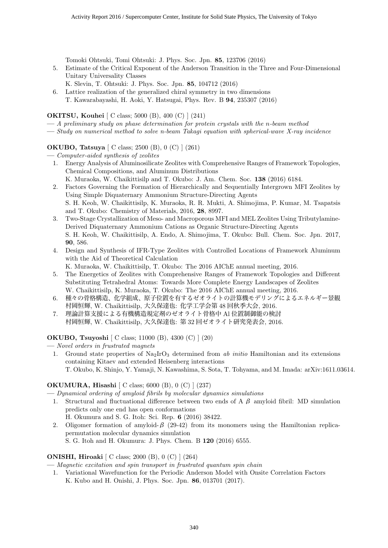Tomoki Ohtsuki, Tomi Ohtsuki: J. Phys. Soc. Jpn. **85**, 123706 (2016)

- 5. Estimate of the Critical Exponent of the Anderson Transition in the Three and Four-Dimensional Unitary Universality Classes
	- K. Slevin, T. Ohtsuki: J. Phys. Soc. Jpn. **85**, 104712 (2016)
- 6. Lattice realization of the generalized chiral symmetry in two dimensions T. Kawarabayashi, H. Aoki, Y. Hatsugai, Phys. Rev. B **94**, 235307 (2016)

**OKITSU, Kouhei** [ C class; 5000 (B), 400 (C) ] (241)

- **—** *A preliminary study on phase determination for protein crystals with the n-beam method*
- **—** *Study on numerical method to solve n-beam Takagi equation with spherical-wave X-ray incidence*

#### **OKUBO, Tatsuya** [ C class; 2500 (B), 0 (C) ] (261)

- **—** *Computer-aided synthesis of zeolites*
	- 1. Energy Analysis of Aluminosilicate Zeolites with Comprehensive Ranges of Framework Topologies, Chemical Compositions, and Aluminum Distributions K. Muraoka, W. Chaikittisilp and T. Okubo: J. Am. Chem. Soc. **138** (2016) 6184.
	- 2. Factors Governing the Formation of Hierarchically and Sequentially Intergrown MFI Zeolites by Using Simple Diquaternary Ammonium Structure-Directing Agents S. H. Keoh, W. Chaikittisilp, K. Muraoka, R. R. Mukti, A. Shimojima, P. Kumar, M. Tsapatsis and T. Okubo: Chemistry of Materials, 2016, **28**, 8997.
	- 3. Two-Stage Crystallization of Meso- and Macroporous MFI and MEL Zeolites Using Tributylamine-Derived Diquaternary Ammonium Cations as Organic Structure-Directing Agents S. H. Keoh, W. Chaikittisilp, A. Endo, A. Shimojima, T. Okubo: Bull. Chem. Soc. Jpn. 2017, **90**, 586.
	- 4. Design and Synthesis of IFR-Type Zeolites with Controlled Locations of Framework Aluminum with the Aid of Theoretical Calculation K. Muraoka, W. Chaikittisilp, T. Okubo: The 2016 AIChE annual meeting, 2016.
	- 5. The Energetics of Zeolites with Comprehensive Ranges of Framework Topologies and Different Substituting Tetrahedral Atoms: Towards More Complete Energy Landscapes of Zeolites W. Chaikittisilp, K. Muraoka, T. Okubo: The 2016 AIChE annual meeting, 2016.
	- 6. 種々の骨格構造、化学組成、原子位置を有するゼオライトの計算機モデリングによるエネルギー景観 村岡恒輝, W. Chaikittisilp, 大久保達也: 化学工学会第 48 回秋季大会, 2016.
	- 7. 理論計算支援による有機構造規定剤のゼオライト骨格中 Al 位置制御能の検討 村岡恒輝, W. Chaikittisilp, 大久保達也: 第 32 回ゼオライト研究発表会, 2016.

#### **OKUBO, Tsuyoshi** [ C class; 11000 (B), 4300 (C) ] (20)

**—** *Novel orders in frustrated magnets*

1. Ground state properties of Na2IrO<sup>3</sup> determined from *ab initio* Hamiltonian and its extensions containing Kitaev and extended Heisenberg interactions T. Okubo, K. Shinjo, Y. Yamaji, N. Kawashima, S. Sota, T. Tohyama, and M. Imada: arXiv:1611.03614.

#### **OKUMURA, Hisashi** [ C class; 6000 (B), 0 (C) ] (237)

**—** *Dynamical ordering of amyloid fibrils by molecular dynamics simulations*

- 1. Structural and fluctuational difference between two ends of A  $\beta$  amyloid fibril: MD simulation predicts only one end has open conformations
	- H. Okumura and S. G. Itoh: Sci. Rep. **6** (2016) 38422.
- 2. Oligomer formation of amyloid- $\beta$  (29-42) from its monomers using the Hamiltonian replicapermutation molecular dynamics simulation S. G. Itoh and H. Okumura: J. Phys. Chem. B **120** (2016) 6555.

#### **ONISHI, Hiroaki** [ C class; 2000 (B), 0 (C) ] (264)

**—** *Magnetic excitation and spin transport in frustrated quantum spin chain*

1. Variational Wavefunction for the Periodic Anderson Model with Onsite Correlation Factors K. Kubo and H. Onishi, J. Phys. Soc. Jpn. **86**, 013701 (2017).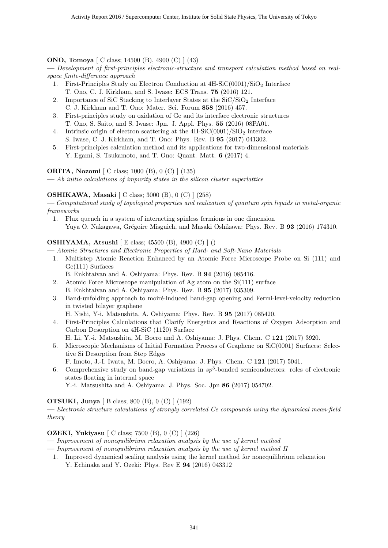#### **ONO, Tomoya** [ C class; 14500 (B), 4900 (C) ] (43)

**—** *Development of first-principles electronic-structure and transport calculation method based on realspace finite-difference approach*

- 1. First-Principles Study on Electron Conduction at  $4H-SiC(0001)/SiO<sub>2</sub>$  Interface T. Ono, C. J. Kirkham, and S. Iwase: ECS Trans. **75** (2016) 121.
- 2. Importance of SiC Stacking to Interlayer States at the  $SiC/SiO<sub>2</sub>$  Interface C. J. Kirkham and T. Ono: Mater. Sci. Forum **858** (2016) 457.
- 3. First-principles study on oxidation of Ge and its interface electronic structures T. Ono, S. Saito, and S. Iwase: Jpn. J. Appl. Phys. **55** (2016) 08PA01.
- 4. Intrinsic origin of electron scattering at the  $4H-SiC(0001)/SiO<sub>2</sub>$  interface S. Iwase, C. J. Kirkham, and T. Ono: Phys. Rev. B **95** (2017) 041302.
- 5. First-principles calculation method and its applications for two-dimensional materials Y. Egami, S. Tsukamoto, and T. Ono: Quant. Matt. **6** (2017) 4.

#### **ORITA, Nozomi** [ C class; 1000 (B), 0 (C) ] (135)

**—** *Ab initio calculations of impurity states in the silicon cluster superlattice*

#### **OSHIKAWA, Masaki** [ C class; 3000 (B), 0 (C) ] (258)

**—** *Computational study of topological properties and realization of quantum spin liquids in metal-organic frameworks*

1. Flux quench in a system of interacting spinless fermions in one dimension Yuya O. Nakagawa, Grégoire Misguich, and Masaki Oshikawa: Phys. Rev. B **93** (2016) 174310.

#### **OSHIYAMA, Atsushi** [ E class; 45500 (B), 4900 (C) ] ()

**—** *Atomic Structures and Electronic Properties of Hard- and Soft-Nano Materials*

- 1. Multistep Atomic Reaction Enhanced by an Atomic Force Microscope Probe on Si (111) and Ge(111) Surfaces
	- B. Enkhtaivan and A. Oshiyama: Phys. Rev. B **94** (2016) 085416.
- 2. Atomic Force Microscope manipulation of Ag atom on the Si(111) surface
- B. Enkhtaivan and A. Oshiyama: Phys. Rev. B **95** (2017) 035309.
- 3. Band-unfolding approach to moiré-induced band-gap opening and Fermi-level-velocity reduction in twisted bilayer graphene

H. Nishi, Y-i. Matsushita, A. Oshiyama: Phys. Rev. B **95** (2017) 085420.

- 4. First-Principles Calculations that Clarify Energetics and Reactions of Oxygen Adsorption and Carbon Desorption on  $4H-SiC$  (11 $\bar{2}0$ ) Surface
	- H. Li, Y.-i. Matsushita, M. Boero and A. Oshiyama: J. Phys. Chem. C **121** (2017) 3920.
- 5. Microscopic Mechanisms of Initial Formation Process of Graphene on SiC(0001) Surfaces: Selective Si Desorption from Step Edges
	- F. Imoto, J.-I. Iwata, M. Boero, A. Oshiyama: J. Phys. Chem. C **121** (2017) 5041.
- 6. Comprehensive study on band-gap variations in *sp*<sup>3</sup> -bonded semiconductors: roles of electronic states floating in internal space
	- Y.-i. Matsushita and A. Oshiyama: J. Phys. Soc. Jpn **86** (2017) 054702.

#### **OTSUKI, Junya** [ B class; 800 (B), 0 (C) ] (192)

**—** *Electronic structure calculations of strongly correlated Ce compounds using the dynamical mean-field theory*

#### **OZEKI, Yukiyasu** [ C class; 7500 (B), 0 (C) ] (226)

- **—** *Improvement of nonequilibrium relaxation analysis by the use of kernel method*
- **—** *Improvement of nonequilibrium relaxation analysis by the use of kernel method II*
	- 1. Improved dynamical scaling analysis using the kernel method for nonequilibrium relaxation Y. Echinaka and Y. Ozeki: Phys. Rev E **94** (2016) 043312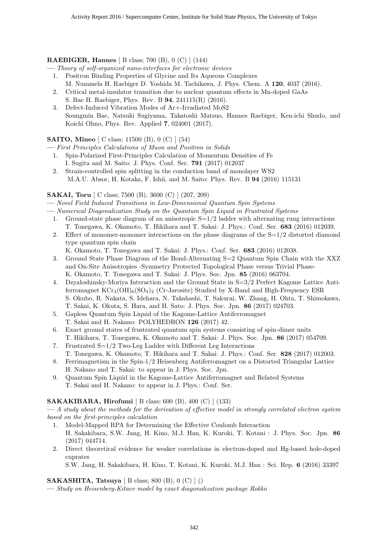#### **RAEBIGER, Hannes** [ B class; 700 (B), 0 (C) ] (144)

**—** *Theory of self-organized nano-interfaces for electronic devices*

- 1. Positron Binding Properties of Glycine and Its Aqueous Complexes M. Nummela H. Raebiger D. Yoshida M. Tachikawa, J. Phys. Chem. A **120**, 4037 (2016).
- 2. Critical metal-insulator transition due to nuclear quantum effects in Mn-doped GaAs S. Bae H. Raebiger, Phys. Rev. B **94**, 241115(R) (2016).
- 3. Defect-Induced Vibration Modes of Ar+-Irradiated MoS2 Soungmin Bae, Natsuki Sugiyama, Takatoshi Matsuo, Hannes Raebiger, Ken-ichi Shudo, and Koichi Ohno, Phys. Rev. Applied **7**, 024001 (2017).

#### **SAITO, Mineo** [ C class; 11500 (B), 0 (C) ] (54)

**—** *First Principles Calculations of Muon and Positron in Solids*

- 1. Spin-Polarized First-Principles Calculation of Momentum Densities of Fe I. Sugita and M. Saito: J. Phys. Conf. Ser. **791** (2017) 012037
- 2. Strain-controlled spin splitting in the conduction band of monolayer WS2 M.A.U. Absor, H. Kotaka, F. Ishii, and M. Saito: Phys. Rev. B **94** (2016) 115131

#### **SAKAI, Toru** [ C class; 7500 (B), 3600 (C) ] (207, 209)

**—** *Novel Field Induced Transitions in Low-Dimensional Quantum Spin Systems*

- **—** *Numerical Diagonalization Study on the Quantum Spin Liquid in Frustrated Systems*
	- 1. Ground-state phase diagram of an anisotropic  $S=1/2$  ladder with alternating rung interactions T. Tonegawa, K. Okamoto, T. Hikihara and T. Sakai: J. Phys.: Conf. Ser. **683** (2016) 012039.
	- 2. Effect of monomer-monomer interactions on the phase diagrams of the  $S=1/2$  distorted diamond type quantum spin chain

K. Okamoto, T. Tonegawa and T. Sakai: J. Phys.: Conf. Ser. **683** (2016) 012038.

- 3. Ground State Phase Diagram of the Bond-Alternating S=2 Quantum Spin Chain with the XXZ and On-Site Anisotropies -Symmetry Protected Topological Phase versus Trivial Phase-K. Okamoto, T. Tonegawa and T. Sakai: J. Phys. Soc. Jpn. **85** (2016) 063704.
- 4. Dzyaloshinsky-Moriya Interaction and the Ground State in S=3/2 Perfect Kagome Lattice Antiferromagnet  $\text{KCr}_3(\text{OH})_6(\text{SO}_4)_2$  (Cr-Jarosite) Studied by X-Band and High-Frequency ESR S. Okubo, R. Nakata, S. Idehara, N. Takahashi, T. Sakurai, W. Zhang, H. Ohta, T. Shimokawa, T. Sakai, K. Okuta, S. Hara, and H. Sato: J. Phys. Soc. Jpn. **86** (2017) 024703.
- 5. Gapless Quantum Spin Liquid of the Kagome-Lattice Antiferromagnet T. Sakai and H. Nakano: POLYHEDRON **126** (2017) 42.
- 6. Exact ground states of frustrated quantum spin systems consisting of spin-dimer units T. Hikihara, T. Tonegawa, K. Okamoto and T. Sakai: J. Phys. Soc. Jpn. **86** (2017) 054709.
- 7. Frustrated S=1/2 Two-Leg Ladder with Different Leg Interactions
- T. Tonegawa, K. Okamoto, T. Hikihara and T. Sakai: J. Phys.: Conf. Ser. **828** (2017) 012003. 8. Ferrimagnetism in the Spin-1/2 Heisenberg Antiferromagnet on a Distorted Triangular Lattice H. Nakano and T. Sakai: to appear in J. Phys. Soc. Jpn.
- 9. Quantum Spin Liquid in the Kagome-Lattice Antiferromagnet and Related Systems T. Sakai and H. Nakano: to appear in J. Phys.: Conf. Ser.

#### **SAKAKIBARA, Hirofumi** [ B class; 600 (B), 400 (C) ] (133)

**—** *A study about the methods for the derivation of effective model in strongly correlated electron system based on the first-principles calculation*

- 1. Model-Mapped RPA for Determining the Effective Coulomb Interaction H. Sakakibara, S.W. Jang, H. Kino, M.J. Han, K. Kuroki, T. Kotani : J. Phys. Soc. Jpn. **86** (2017) 044714.
- 2. Direct theoretical evidence for weaker correlations in electron-doped and Hg-based hole-doped cuprates

S.W. Jang, H. Sakakibara, H. Kino, T. Kotani, K. Kuroki, M.J. Han : Sci. Rep. **6** (2016) 33397

#### **SAKASHITA, Tatsuya** [ B class; 800 (B), 0 (C) ] ()

**—** *Study on Heisenberg-Kitaev model by exact diagonalization package Rokko*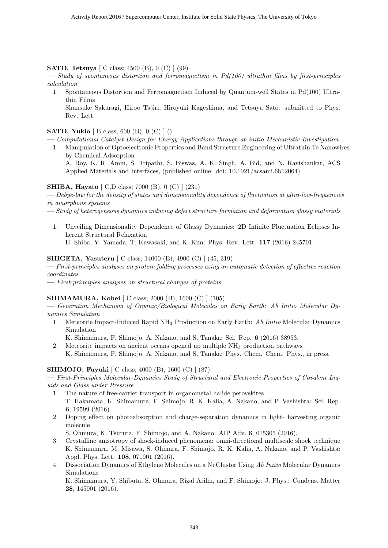**SATO, Tetsuya** [ C class; 4500 (B), 0 (C) ] (99)

**—** *Study of spontaneous distortion and ferromagnetism in Pd(100) ultrathin films by first-principles calculation*

1. Spontaneous Distortion and Ferromagnetism Induced by Quantum-well States in Pd(100) Ultrathin Films

Shunsuke Sakuragi, Hiroo Tajiri, Hiroyuki Kageshima, and Tetsuya Sato: submitted to Phys. Rev. Lett.

**SATO, Yukio** [ B class; 600 (B), 0 (C) ] ()

- **—** *Computational Catalyst Design for Energy Applications through ab initio Mechanistic Investigation*
	- 1. Manipulation of Optoelectronic Properties and Band Structure Engineering of Ultrathin Te Nanowires by Chemical Adsorption

A. Roy, K. R. Amin, S. Tripathi, S. Biswas, A. K. Singh, A. Bid, and N. Ravishankar, ACS Applied Materials and Interfaces, (published online: doi: 10.1021/acsami.6b12064)

#### **SHIBA, Hayato** [ C,D class; 7000 (B), 0 (C) ] (231)

**—** *Debye-law for the density of states and dimensionality dependence of fluctuation at ultra-low-frequencies in amorphous systems*

- **—** *Study of heterogeneous dynamics inducing defect structure formation and deformation glassy materials*
	- 1. Unveiling Dimensionality Dependence of Glassy Dynamics: 2D Infinite Fluctuation Eclipses Inherent Structural Relaxation H. Shiba, Y. Yamada, T. Kawasaki, and K. Kim: Phys. Rev. Lett. **117** (2016) 245701.

#### **SHIGETA, Yasuteru** [ C class; 14000 (B), 4900 (C) ] (45, 319)

**—** *First-principles analyses on protein folding processes using an automatic detection of effective reaction coordinates*

**—** *First-principles analyses on structural changes of proteins*

#### **SHIMAMURA, Kohei** [ C class; 2000 (B), 1600 (C) ] (105)

**—** *Generation Mechanism of Organic/Biological Molecules on Early Earth: Ab Initio Molecular Dynamics Simulation*

1. Meteorite Impact-Induced Rapid NH<sup>3</sup> Production on Early Earth: *Ab Initio* Molecular Dynamics Simulation

K. Shimamura, F. Shimojo, A. Nakano, and S. Tanaka: Sci. Rep. **6** (2016) 38953.

2. Meteorite impacts on ancient oceans opened up multiple NH<sup>3</sup> production pathways K. Shimamura, F. Shimojo, A. Nakano, and S. Tanaka: Phys. Chem. Chem. Phys., in press.

#### **SHIMOJO, Fuyuki** [ C class; 4000 (B), 1600 (C) ] (87)

**—** *First-Principles Molecular-Dynamics Study of Structural and Electronic Properties of Covalent Liquids and Glass under Pressure*

- 1. The nature of free-carrier transport in organometal halide perovskites T. Hakamata, K. Shimamura, F. Shimojo, R. K. Kalia, A. Nakano, and P. Vashishta: Sci. Rep. **6**, 19599 (2016).
- 2. Doping effect on photoabsorption and charge-separation dynamics in light- harvesting organic molecule

S. Ohmura, K. Tsuruta, F. Shimojo, and A. Nakano: AIP Adv. **6**, 015305 (2016).

- 3. Crystalline anisotropy of shock-induced phenomena: omni-directional multiscale shock technique K. Shimamura, M. Misawa, S. Ohmura, F. Shimojo, R. K. Kalia, A. Nakano, and P. Vashishta: Appl. Phys. Lett. **108**, 071901 (2016).
- 4. Dissociation Dynamics of Ethylene Molecules on a Ni Cluster Using *Ab Initio* Molecular Dynamics Simulations

K. Shimamura, Y. Shibuta, S. Ohmura, Rizal Arifin, and F. Shimojo: J. Phys.: Condens. Matter **28**, 145001 (2016).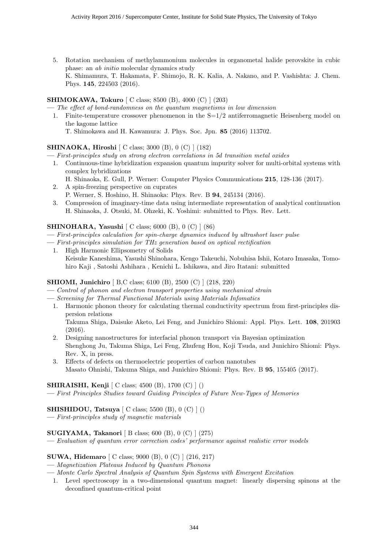5. Rotation mechanism of methylammonium molecules in organometal halide perovskite in cubic phase: an *ab initio* molecular dynamics study K. Shimamura, T. Hakamata, F. Shimojo, R. K. Kalia, A. Nakano, and P. Vashishta: J. Chem. Phys. **145**, 224503 (2016).

#### **SHIMOKAWA, Tokuro** [ C class; 8500 (B), 4000 (C) ] (203)

**—** *The effect of bond-randomness on the quantum magnetisms in low dimension*

1. Finite-temperature crossover phenomenon in the  $S=1/2$  antiferromagnetic Heisenberg model on the kagome lattice

#### T. Shimokawa and H. Kawamura: J. Phys. Soc. Jpn. **85** (2016) 113702.

#### **SHINAOKA, Hiroshi** [ C class; 3000 (B), 0 (C) ] (182)

**—** *First-principles study on strong electron correlations in 5d transition metal oxides*

- 1. Continuous-time hybridization expansion quantum impurity solver for multi-orbital systems with complex hybridizations
	- H. Shinaoka, E. Gull, P. Werner: Computer Physics Communications **215**, 128-136 (2017).
- 2. A spin-freezing perspective on cuprates
- P. Werner, S. Hoshino, H. Shinaoka: Phys. Rev. B **94**, 245134 (2016).
- 3. Compression of imaginary-time data using intermediate representation of analytical continuation H. Shinaoka, J. Otsuki, M. Ohzeki, K. Yoshimi: submitted to Phys. Rev. Lett.

#### **SHINOHARA, Yasushi** [ C class; 6000 (B), 0 (C) ] (86)

- **—** *First-principles calculation for spin-charge dynamics induced by ultrashort laser pulse*
- **—** *First-principles simulation for THz generation based on optical rectification*
	- 1. High Harmonic Ellipsometry of Solids Keisuke Kaneshima, Yasushi Shinohara, Kengo Takeuchi, Nobuhisa Ishii, Kotaro Imasaka, Tomohiro Kaji , Satoshi Ashihara , Kenichi L. Ishikawa, and Jiro Itatani: submitted

#### **SHIOMI, Junichiro** [ B,C class; 6100 (B), 2500 (C) ] (218, 220)

- **—** *Control of phonon and electron transport properties using mechanical strain*
- **—** *Screening for Thermal Functional Materials using Materials Infomatics*
	- 1. Harmonic phonon theory for calculating thermal conductivity spectrum from first-principles dispersion relations

Takuma Shiga, Daisuke Aketo, Lei Feng, and Junichiro Shiomi: Appl. Phys. Lett. **108**, 201903 (2016).

- 2. Designing nanostructures for interfacial phonon transport via Bayesian optimization Shenghong Ju, Takuma Shiga, Lei Feng, Zhufeng Hou, Koji Tsuda, and Junichiro Shiomi: Phys. Rev. X, in press.
- 3. Effects of defects on thermoelectric properties of carbon nanotubes Masato Ohnishi, Takuma Shiga, and Junichiro Shiomi: Phys. Rev. B **95**, 155405 (2017).

#### **SHIRAISHI, Kenji** [ C class; 4500 (B), 1700 (C) ] ()

**—** *First Principles Studies toward Guiding Principles of Future New-Types of Memories*

#### **SHISHIDOU, Tatsuya** [ C class; 5500 (B), 0 (C) ] ()

**—** *First-principles study of magnetic materials*

#### **SUGIYAMA, Takanori** [ B class; 600 (B), 0 (C) ] (275)

**—** *Evaluation of quantum error correction codes' performance against realistic error models*

#### **SUWA, Hidemaro** [ C class; 9000 (B), 0 (C) ] (216, 217)

**—** *Magnetization Plateaus Induced by Quantum Phonons*

- **—** *Monte Carlo Spectral Analysis of Quantum Spin Systems with Emergent Excitation*
	- 1. Level spectroscopy in a two-dimensional quantum magnet: linearly dispersing spinons at the deconfined quantum-critical point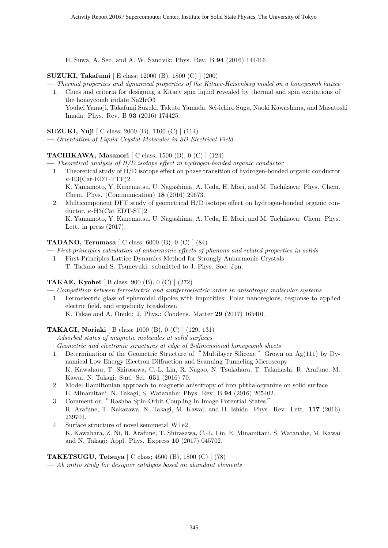H. Suwa, A. Sen, and A. W. Sandvik: Phys. Rev. B **94** (2016) 144416

#### **SUZUKI, Takafumi** [ E class; 12000 (B), 1800 (C) ] (200)

**—** *Thermal properties and dynamical properties of the Kitaev-Heisenberg model on a honeycomb lattice*

1. Clues and criteria for designing a Kitaev spin liquid revealed by thermal and spin excitations of the honeycomb iridate Na2IrO3 Youhei Yamaji, Takafumi Suzuki, Takuto Yamada, Sei-ichiro Suga, Naoki Kawashima, and Masatoshi Imada: Phys. Rev. B **93** (2016) 174425.

**SUZUKI, Yuji** [ C class; 2000 (B), 1100 (C) ] (114)

**—** *Orientation of Liquid Crystal Molecules in 3D Electrical Field*

#### **TACHIKAWA, Masanori** [ C class; 1500 (B), 0 (C) ] (124)

**—** *Theoretical analysis of H/D isotope effect in hydrogen-bonded organic conductor*

- 1. Theoretical study of H/D isotope effect on phase transition of hydrogen-bonded organic conductor *κ*-H3(Cat-EDT-TTF)2 K. Yamamoto, Y. Kanematsu, U. Nagashima, A. Ueda, H. Mori, and M. Tachikawa: Phys. Chem.
- Chem. Phys. (Communication) **18** (2016) 29673. 2. Multicomponent DFT study of geometrical H/D isotope effect on hydrogen-bonded organic conductor, *κ*-H3(Cat EDT-ST)2 K. Yamamoto, Y. Kanematsu, U. Nagashima, A. Ueda, H. Mori, and M. Tachikawa: Chem. Phys.

Lett. in press (2017).

#### **TADANO, Terumasa** [ C class; 6000 (B), 0 (C) ] (84)

**—** *First-principles calculation of anharmonic effects of phonons and related properties in solids*

1. First-Principles Lattice Dynamics Method for Strongly Anharmonic Crystals T. Tadano and S. Tsuneyuki: submitted to J. Phys. Soc. Jpn.

#### **TAKAE, Kyohei** [ B class; 900 (B), 0 (C) ] (272)

**—** *Competition between ferroelectric and antiferroelectric order in anisotropic molecular systems*

- 1. Ferroelectric glass of spheroidal dipoles with impurities: Polar nanoregions, response to applied electric field, and ergodicity breakdown
	- K. Takae and A. Onuki: J. Phys.: Condens. Matter **29** (2017) 165401.

#### **TAKAGI, Noriaki** [ B class; 1000 (B), 0 (C) ] (129, 131)

- **—** *Adsorbed states of magnetic molecules at solid surfaces*
- **—** *Geometric and electronic structures at edge of 2-dimensional honeycomb sheets*
	- 1. Determination of the Geometric Structure of " Multilayer Silicene "Grown on Ag(111) by Dynamical Low Energy Electron Diffraction and Scanning Tunneling Microscopy K. Kawahara, T. Shirasawa, C.-L. Lin, R. Nagao, N. Tsukahara, T. Takahashi, R. Arafune, M. Kawai, N. Takagi: Surf. Sci. **651** (2016) 70.
	- 2. Model Hamiltonian approach to magnetic anisotropy of iron phthalocyanine on solid surface E. Minamitani, N. Takagi, S. Watanabe: Phys. Rev. B **94** (2016) 205402.
	- 3. Comment on" Rashba Spin-Orbit Coupling in Image Potential States " R. Arafune, T. Nakazawa, N. Takagi, M. Kawai, and H. Ishida: Phys. Rev. Lett. **117** (2016) 239701.
	- 4. Surface structure of novel semimetal WTe2 K. Kawahara, Z. Ni, R. Arafune, T. Shirasawa, C.-L. Lin, E. Minamitani, S. Watanabe, M. Kawai and N. Takagi: Appl. Phys. Express **10** (2017) 045702.

#### **TAKETSUGU, Tetsuya** [ C class; 4500 (B), 1800 (C) ] (78)

**—** *Ab initio study for designer catalysis based on abundant elements*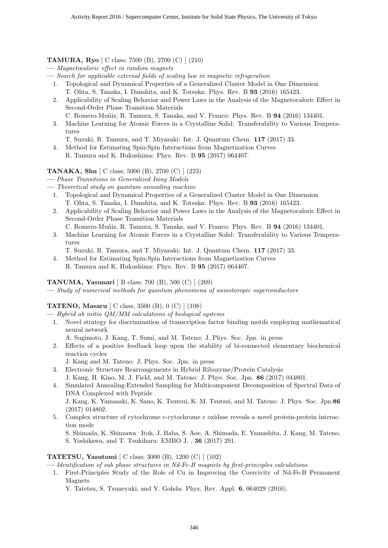#### **TAMURA, Ryo** [ C class; 7500 (B), 2700 (C) ] (210)

- **—** *Magnetocaloric effect in random magnets*
- **—** *Search for applicable external fields of scaling law in magnetic refrigeration*
	- 1. Topological and Dynamical Properties of a Generalized Cluster Model in One Dimension T. Ohta, S. Tanaka, I. Danshita, and K. Totsuka: Phys. Rev. B **93** (2016) 165423.
	- 2. Applicability of Scaling Behavior and Power Laws in the Analysis of the Magnetocaloric Effect in Second-Order Phase Transition Materials
		- C. Romero-Mu˜niz, R. Tamura, S. Tanaka, and V. Franco: Phys. Rev. B **94** (2016) 134401.
	- 3. Machine Learning for Atomic Forces in a Crystalline Solid: Transferability to Various Temperatures
		- T. Suzuki, R. Tamura, and T. Miyazaki: Int. J. Quantum Chem. **117** (2017) 33.
	- 4. Method for Estimating Spin-Spin Interactions from Magnetization Curves R. Tamura and K. Hukushima: Phys. Rev. B **95** (2017) 064407.

#### **TANAKA, Shu** [ C class; 5000 (B), 2700 (C) ] (223)

- **—** *Phase Transitions in Generalized Ising Models*
- **—** *Theoretical study on quantum annealing machine*
	- 1. Topological and Dynamical Properties of a Generalized Cluster Model in One Dimension T. Ohta, S. Tanaka, I. Danshita, and K. Totsuka: Phys. Rev. B **93** (2016) 165423.
	- 2. Applicability of Scaling Behavior and Power Laws in the Analysis of the Magnetocaloric Effect in Second-Order Phase Transition Materials
		- C. Romero-Mu˜niz, R. Tamura, S. Tanaka, and V. Franco: Phys. Rev. B **94** (2016) 134401.
	- 3. Machine Learning for Atomic Forces in a Crystalline Solid: Transferability to Various Temperatures
		- T. Suzuki, R. Tamura, and T. Miyazaki: Int. J. Quantum Chem. **117** (2017) 33.
	- 4. Method for Estimating Spin-Spin Interactions from Magnetization Curves R. Tamura and K. Hukushima: Phys. Rev. B **95** (2017) 064407.

#### **TANUMA, Yasunari** [ B class; 700 (B), 500 (C) ] (269)

**—** *Study of numerical methods for quantum phenomena of anisotoropic superconductors*

#### **TATENO, Masaru** [ C class; 3500 (B), 0 (C) ] (108)

- **—** *Hybrid ab initio QM/MM calculations of biological systems*
- 1. Novel strategy for discrimination of transcription factor binding motifs employing mathematical neural network
	- A. Sugimoto, J. Kang, T. Sumi, and M. Tateno: J. Phys. Soc. Jpn. in press
- 2. Effects of a positive feedback loop upon the stability of bi-connected elementary biochemical reaction cycles
	- J. Kang and M. Tateno: J. Phys. Soc. Jpn. in press
- 3. Electronic Structure Rearrangements in Hybrid Ribozyme/Protein Catalysis J. Kang, H. Kino, M. J. Field, and M. Tateno: J. Phys. Soc. Jpn. **86** (2017) 044801.
- 4. Simulated Annealing-Extended Sampling for Multicomponent Decomposition of Spectral Data of DNA Complexed with Peptide J. Kang, K. Yamasaki, K. Sano, K. Tsutsui, K. M. Tsutsui, and M. Tateno: J. Phys. Soc. Jpn.**86** (2017) 014802.
- 5. Complex structure of cytochrome c-cytochrome c oxidase reveals a novel protein-protein interaction mode

S. Shimada, K. Shinzawa‐Itoh, J. Baba, S. Aoe, A. Shimada, E. Yamashita, J. Kang, M. Tateno, S. Yoshikawa, and T. Tsukihara: EMBO J. , **36** (2017) 291.

#### **TATETSU, Yasutomi** [ C class; 3000 (B), 1200 (C) ] (102)

**—** *Identification of sub phase structures in Nd-Fe-B magnets by first-principles calculations*

1. First-Principles Study of the Role of Cu in Improving the Coercivity of Nd-Fe-B Permanent Magnets

Y. Tatetsu, S. Tsuneyuki, and Y. Gohda: Phys. Rev. Appl. **6**, 064029 (2016).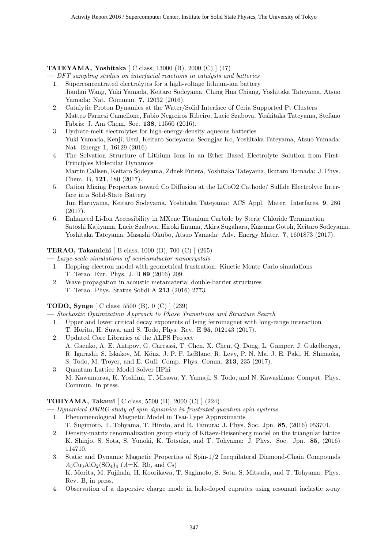#### **TATEYAMA, Yoshitaka** [ C class; 13000 (B), 2000 (C) ] (47)

**—** *DFT sampling studies on interfacial reactions in catalysts and batteries*

- 1. Superconcentrated electrolytes for a high-voltage lithium-ion battery Jianhui Wang, Yuki Yamada, Keitaro Sodeyama, Ching Hua Chiang, Yoshitaka Tateyama, Atsuo Yamada: Nat. Commun. **7**, 12032 (2016).
- 2. Catalytic Proton Dynamics at the Water/Solid Interface of Ceria Supported Pt Clusters Matteo Farnesi Camellone, Fabio Negreiros Ribeiro, Lucie Szabova, Yoshitaka Tateyama, Stefano Fabris: J. Am Chem. Soc. **138**, 11560 (2016).
- 3. Hydrate-melt electrolytes for high-energy-density aqueous batteries Yuki Yamada, Kenji, Usui, Keitaro Sodeyama, Seongjae Ko, Yoshitaka Tateyama, Atsuo Yamada: Nat. Energy **1**, 16129 (2016).
- 4. The Solvation Structure of Lithium Ions in an Ether Based Electrolyte Solution from First-Principles Molecular Dynamics Martin Callsen, Keitaro Sodeyama, Zdnek Futera, Yoshitaka Tateyama, Ikutaro Hamada: J. Phys. Chem. B, **121**, 180 (2017).
- 5. Cation Mixing Properties toward Co Diffusion at the LiCoO2 Cathode/ Sulfide Electrolyte Interface in a Solid-State Battery Jun Haruyama, Keitaro Sodeyama, Yoshitaka Tateyama: ACS Appl. Mater. Interfaces, **9**, 286 (2017).
- 6. Enhanced Li-Ion Accessibility in MXene Titanium Carbide by Steric Chloride Termination Satoshi Kajiyama, Lucie Szabova, Hiroki Iinuma, Akira Sugahara, Kazuma Gotoh, Keitaro Sodeyama, Yoshitaka Tateyama, Masashi Okubo, Atsuo Yamada: Adv. Energy Mater. **7**, 1601873 (2017).

#### **TERAO, Takamichi** [ B class; 1000 (B), 700 (C) ] (265)

**—** *Large-scale simulations of semiconductor nanocrystals*

- 1. Hopping electron model with geometrical frustration: Kinetic Monte Carlo simulations T. Terao: Eur. Phys. J. B **89** (2016) 209.
- 2. Wave propagation in acoustic metamaterial double-barrier structures T. Terao: Phys. Status Solidi A **213** (2016) 2773.

#### **TODO, Synge** [ C class; 5500 (B), 0 (C) ] (239)

**—** *Stochastic Optimization Approach to Phase Transitions and Structure Search*

- 1. Upper and lower critical decay exponents of Ising ferromagnet with long-range interaction T. Horita, H. Suwa, and S. Todo, Phys. Rev. E **95**, 012143 (2017).
- 2. Updated Core Libraries of the ALPS Project
	- A. Gaenko, A. E. Antipov, G. Carcassi, T. Chen, X. Chen, Q. Dong, L. Gamper, J. Gukelberger, R. Igarashi, S. Iskakov, M. Könz, J. P. F. LeBlanc, R. Levy, P. N. Ma, J. E. Paki, H. Shinaoka, S. Todo, M. Troyer, and E. Gull: Comp. Phys. Comm. **213**, 235 (2017).
- 3. Quantum Lattice Model Solver HPhi M. Kawamuraa, K. Yoshimi, T. Misawa, Y. Yamaji, S. Todo, and N. Kawashima: Comput. Phys. Commun. in press.

#### **TOHYAMA, Takami** [ C class; 5500 (B), 2000 (C) ] (224)

**—** *Dynamical DMRG study of spin dynamics in frustrated quantum spin systems*

1. Phenomenological Magnetic Model in Tsai-Type Approximants

T. Sugimoto, T. Tohyama, T. Hiroto, and R. Tamura: J. Phys. Soc. Jpn. **85**, (2016) 053701.

- 2. Density-matrix renormalization group study of Kitaev-Heisenberg model on the triangular lattice K. Shinjo, S. Sota, S. Yunoki, K. Totsuka, and T. Tohyama: J. Phys. Soc. Jpn. **85**, (2016) 114710.
- 3. Static and Dynamic Magnetic Properties of Spin-1/2 Inequilateral Diamond-Chain Compounds  $A_3Cu_3AlO_2(SO_4)_4$  ( $A=K$ , Rb, and Cs) K. Morita, M. Fujihala, H. Koorikawa, T. Sugimoto, S. Sota, S. Mitsuda, and T. Tohyama: Phys. Rev. B, in press.
- 4. Observation of a dispersive charge mode in hole-doped cuprates using resonant inelastic x-ray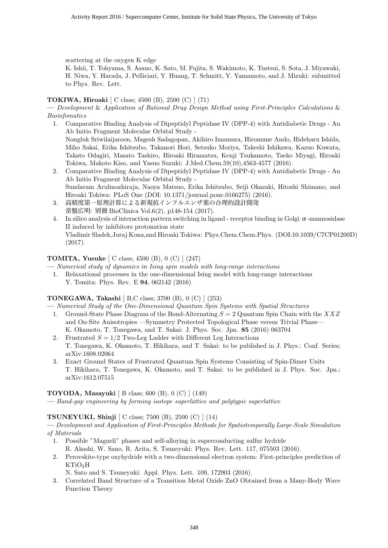scattering at the oxygen K edge

K. Ishii, T. Tohyama, S. Asano, K. Sato, M. Fujita, S. Wakimoto, K. Tustsui, S. Sota, J. Miyawaki, H. Niwa, Y. Harada, J. Pelliciari, Y. Huang, T. Schmitt, Y. Yamamoto, and J. Mizuki: submitted to Phys. Rev. Lett.

#### **TOKIWA, Hiroaki** [ C class; 4500 (B), 2500 (C) ] (71)

**—** *Development* & *Application of Rational Drug Design Method using First-Principles Calculations* & *Bioinfomatics*

- 1. Comparative Binding Analysis of Dipeptidyl Peptidase IV (DPP-4) with Antidiabetic Drugs An Ab Initio Fragment Molecular Orbital Study - Nongluk Sriwilaijaroen, Magesh Sadagopan, Akihiro Imamura, Hiromune Ando, Hideharu Ishida, Miho Sakai, Erika Ishitsubo, Takanori Hori, Setsuko Moriya, Takeshi Ishikawa, Kazuo Kuwata, Takato Odagiri, Masato Tashiro, Hiroaki Hiramatsu, Kenji Tsukamoto, Taeko Miyagi, Hiroaki Tokiwa, Makoto Kiso, and Yasuo Suzuki: J.Med.Chem.59(10),4563-4577 (2016).
- 2. Comparative Binding Analysis of Dipeptidyl Peptidase IV (DPP-4) with Antidiabetic Drugs An Ab Initio Fragment Molecular Orbital Study - Sundaram Arulmozhiraja, Naoya Matsuo, Erika Ishitsubo, Seiji Okazaki, Hitoshi Shimano, and Hiroaki Tokiwa: PLoS One (DOI: 10.1371/journal.pone.0166275) (2016).
- 3. 高精度第一原理計算による新規抗インフルエンザ薬の合理的設計開発 常盤広明: 別冊 BioClinica Vol.6(2), p148-154 (2017).
- 4. In silico analysis of interaction pattern switching in ligand receptor binding in Golgi  $\alpha$ -mannosidase II induced by inhibitors protonation state Vladimir Sladek,Juraj Kona,and Hiroaki Tokiwa: Phys.Chem.Chem.Phys. (DOI:10.1039/C7CP01200D) (2017).

#### **TOMITA, Yusuke** [ C class; 4500 (B), 0 (C) ] (247)

- **—** *Numerical study of dynamics in Ising spin models with long-range interactions*
	- 1. Relaxational processes in the one-dimensional Ising model with long-range interactions Y. Tomita: Phys. Rev. E **94**, 062142 (2016)

#### **TONEGAWA, Takashi** [ B,C class; 3700 (B), 0 (C) ] (253)

- **—** *Numerical Study of the One-Dimensional Quantum Spin Systems with Spatial Structures*
- 1. Ground-State Phase Diagram of the Bond-Alternating *S* = 2 Quantum Spin Chain with the *XXZ* and On-Site Anisotropies —Symmetry Protected Topological Phase versus Trivial Phase— K. Okamoto, T. Tonegawa, and T. Sakai: J. Phys. Soc. Jpn. **85** (2016) 063704
- 2. Frustrated  $S = 1/2$  Two-Leg Ladder with Different Leg Interactions T. Tonegawa, K. Okamoto, T. Hikihara, and T. Sakai: to be published in J. Phys.: Conf. Series; arXiv:1608.02064
- 3. Exact Ground States of Frustrated Quantum Spin Systems Consisting of Spin-Dimer Units T. Hikihara, T. Tonegawa, K. Okamoto, and T. Sakai: to be published in J. Phys. Soc. Jpn.; arXiv:1612.07515

#### **TOYODA, Masayuki** [ B class; 600 (B), 0 (C) ] (149)

**—** *Band-gap engineering by forming isotope superlattice and polytypic superlattice*

#### **TSUNEYUKI, Shinji** [ C class; 7500 (B), 2500 (C) ] (14)

**—** *Development and Application of First-Principles Methods for Spatiotemporally Large-Scale Simulation of Materials*

- 1. Possible "Magneli" phases and self-alloying in superconducting sulfur hydride R. Akashi, W. Sano, R. Arita, S. Tsuneyuki: Phys. Rev. Lett. 117, 075503 (2016).
- 2. Perovskite-type oxyhydride with a two-dimensional electron system: First-principles prediction of  $KTiO<sub>2</sub>H$

N. Sato and S. Tsuneyuki: Appl. Phys. Lett. 109, 172903 (2016).

3. Correlated Band Structure of a Transition Metal Oxide ZnO Obtained from a Many-Body Wave Function Theory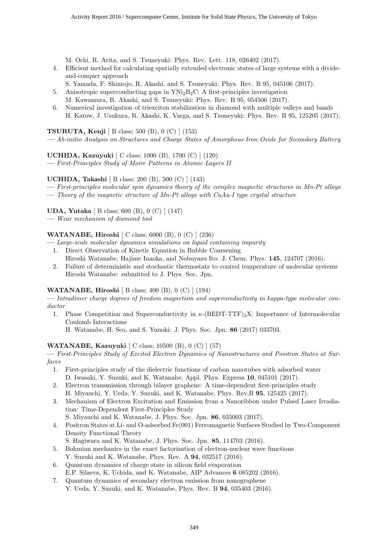M. Ochi, R. Arita, and S. Tsuneyuki: Phys. Rev. Lett. 118, 026402 (2017).

- 4. Efficient method for calculating spatially extended electronic states of large systems with a divideand-conquer approach
	- S. Yamada, F. Shimojo, R. Akashi, and S. Tsuneyuki: Phys. Rev. B 95, 045106 (2017).
- 5. Anisotropic superconducting gaps in  $YNi<sub>2</sub>B<sub>2</sub>C$ : A first-principles investigation M. Kawamura, R. Akashi, and S. Tsuneyuki: Phys. Rev. B 95, 054506 (2017).
- 6. Numerical investigation of triexciton stabilization in diamond with multiple valleys and bands H. Katow, J. Usukura, R. Akashi, K. Varga, and S. Tsuneyuki: Phys. Rev. B 95, 125205 (2017).

**TSURUTA, Kenji** [ B class; 500 (B), 0 (C) ] (153)

**—** *Ab-initio Analysis on Structures and Charge States of Amorphous Iron Oxide for Secondary Battery*

**UCHIDA, Kazuyuki** [ C class; 1000 (B), 1700 (C) ] (120)

**—** *First-Principles Study of Moire Patterns in Atomic Layers II*

**UCHIDA, Takashi** [ B class; 200 (B), 500 (C) ] (143)

- **—** *First-principles molecular spin dynamics theory of the complex magnetic structures in Mn-Pt alloys*
- **—** *Theory of the magnetic structure of Mn-Pt alloys with CuAu-I type crystal structure*

**UDA, Yutaka** [ B class; 600 (B), 0 (C) ] (147)

**—** *Wear mechanism of diamond tool*

#### **WATANABE, Hiroshi** [ C class; 6000 (B), 0 (C) ] (236)

**—** *Large-scale molecular dynamics simulations on liquid containing impurity*

- 1. Direct Observation of Kinetic Equation in Bubble Coarsening Hiroshi Watanabe, Hajime Inaoka, and Nobuyasu Ito: J. Chem. Phys. **145**, 124707 (2016).
- 2. Failure of deterministic and stochastic thermostats to control temperature of molecular systems Hiroshi Watanabe: submitted to J. Phys. Soc. Jpn.

#### **WATANABE, Hiroshi** [ B class; 400 (B), 0 (C) ] (194)

**—** *Intradimer charge degrees of freedom magnetism and superconductivity in kappa-type molecular conductor*

1. Phase Competition and Superconductivity in *κ*-(BEDT-TTF)<sub>2</sub>X: Importance of Intermolecular Coulomb Interactions

H. Watanabe, H. Seo, and S. Yunoki: J. Phys. Soc. Jpn. **86** (2017) 033703.

#### **WATANABE, Kazuyuki** [ C class; 10500 (B), 0 (C) ] (57)

**—** *First-Principles Study of Excited Electron Dynamics of Nanostructures and Positron States at Surfaces*

- 1. First-principles study of the dielectric functions of carbon nanotubes with adsorbed water D. Iwasaki, Y. Suzuki, and K. Watanabe, Appl. Phys. Express **10**, 045101 (2017).
- 2. Electron transmission through bilayer graphene: A time-dependent first-principles study H. Miyauchi, Y. Ueda, Y. Suzuki, and K. Watanabe, Phys. Rev.B **95**, 125425 (2017).
- 3. Mechanism of Electron Excitation and Emission from a Nanoribbon under Pulsed Laser Irradiation: Time-Dependent First-Principles Study
	- S. Miyauchi and K. Watanabe, J. Phys. Soc. Jpn. **86**, 035003 (2017).
- 4. Positron States at Li- and O-adsorbed Fe(001) Ferromagnetic Surfaces Studied by Two-Component Density Functional Theory
	- S. Hagiwara and K. Watanabe, J. Phys. Soc. Jpn. **85**, 114703 (2016).
- 5. Bohmian mechanics in the exact factorization of electron-nuclear wave functions Y. Suzuki and K. Watanabe, Phys. Rev. A **94**, 032517 (2016).
- 6. Quantum dynamics of charge state in silicon field evaporation E.P. Silaeva, K. Uchida, and K. Watanabe, AIP Advances **6** 085202 (2016).
- 7. Quantum dynamics of secondary electron emission from nanographene Y. Ueda, Y. Suzuki, and K. Watanabe, Phys. Rev. B **94**, 035403 (2016).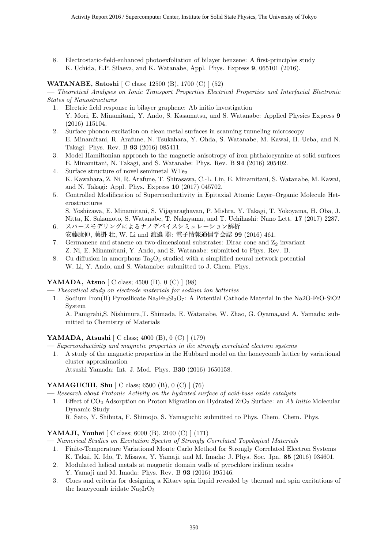8. Electrostatic-field-enhanced photoexfoliation of bilayer benzene: A first-principles study K. Uchida, E.P. Silaeva, and K. Watanabe, Appl. Phys. Express **9**, 065101 (2016).

#### **WATANABE, Satoshi** [ C class; 12500 (B), 1700 (C) ] (52)

**—** *Theoretical Analyses on Ionic Transport Properties Electrical Properties and Interfacial Electronic States of Nanostructures*

- 1. Electric field response in bilayer graphene: Ab initio investigation Y. Mori, E. Minamitani, Y. Ando, S. Kasamatsu, and S. Watanabe: Applied Physics Express **9** (2016) 115104.
- 2. Surface phonon excitation on clean metal surfaces in scanning tunneling microscopy E. Minamitani, R. Arafune, N. Tsukahara, Y. Ohda, S. Watanabe, M. Kawai, H. Ueba, and N. Takagi: Phys. Rev. B **93** (2016) 085411.
- 3. Model Hamiltonian approach to the magnetic anisotropy of iron phthalocyanine at solid surfaces E. Minamitani, N. Takagi, and S. Watanabe: Phys. Rev. B **94** (2016) 205402.
- 4. Surface structure of novel semimetal  $WTe<sub>2</sub>$ K. Kawahara, Z. Ni, R. Arafune, T. Shirasawa, C.-L. Lin, E. Minamitani, S. Watanabe, M. Kawai, and N. Takagi: Appl. Phys. Express **10** (2017) 045702.
- 5. Controlled Modification of Superconductivity in Epitaxial Atomic Layer–Organic Molecule Heterostructures

S. Yoshizawa, E. Minamitani, S. Vijayaraghavan, P. Mishra, Y. Takagi, T. Yokoyama, H. Oba, J. Nitta, K. Sakamoto, S. Watanabe, T. Nakayama, and T. Uchihashi: Nano Lett. **17** (2017) 2287.

- 6. スパースモデリングによるナノデバイスシミュレーション解析 安藤康伸, 藤掛 壮, W. Li and 渡邉 聡: 電子情報通信学会誌 **99** (2016) 461.
- 7. Germanene and stanene on two-dimensional substrates: Dirac cone and  $Z_2$  invariant Z. Ni, E. Minamitani, Y. Ando, and S. Watanabe: submitted to Phys. Rev. B.
- 8. Cu diffusion in amorphous  $Ta_2O_5$  studied with a simplified neural network potential W. Li, Y. Ando, and S. Watanabe: submitted to J. Chem. Phys.

#### **YAMADA, Atsuo** [ C class; 4500 (B), 0 (C) ] (98)

**—** *Theoretical study on electrode materials for sodium ion batteries*

1. Sodium Iron(II) Pyrosilicate  $\text{Na}_2\text{Fe}_2\text{Si}_2\text{O}_7$ : A Potential Cathode Material in the Na2O-FeO-SiO2 System

A. Panigrahi,S. Nishimura,T. Shimada, E. Watanabe, W. Zhao, G. Oyama,and A. Yamada: submitted to Chemistry of Materials

#### **YAMADA, Atsushi** [ C class; 4000 (B), 0 (C) ] (179)

**—** *Superconductivity and magnetic properties in the strongly correlated electron systems*

1. A study of the magnetic properties in the Hubbard model on the honeycomb lattice by variational cluster approximation

Atsushi Yamada: Int. J. Mod. Phys. B**30** (2016) 1650158.

#### **YAMAGUCHI, Shu**  $\begin{bmatrix} C \ \text{class}; 6500 \ (B), 0 \ (C) \ \end{bmatrix} (76)$

**—** *Research about Protonic Activity on the hydrated surface of acid-base oxide catalysts*

1. Effect of CO<sup>2</sup> Adsorption on Proton Migration on Hydrated ZrO<sup>2</sup> Surface: an *Ab Initio* Molecular Dynamic Study R. Sato, Y. Shibuta, F. Shimojo, S. Yamaguchi: submitted to Phys. Chem. Chem. Phys.

## **YAMAJI, Youhei** [ C class; 6000 (B), 2100 (C) ] (171)

**—** *Numerical Studies on Excitation Spectra of Strongly Correlated Topological Materials*

- 1. Finite-Temperature Variational Monte Carlo Method for Strongly Correlated Electron Systems K. Takai, K. Ido, T. Misawa, Y. Yamaji, and M. Imada: J. Phys. Soc. Jpn. **85** (2016) 034601.
- 2. Modulated helical metals at magnetic domain walls of pyrochlore iridium oxides Y. Yamaji and M. Imada: Phys. Rev. B **93** (2016) 195146.
- 3. Clues and criteria for designing a Kitaev spin liquid revealed by thermal and spin excitations of the honeycomb iridate  $Na<sub>2</sub>IrO<sub>3</sub>$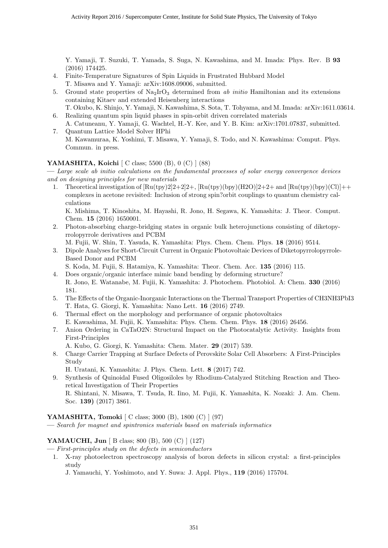Y. Yamaji, T. Suzuki, T. Yamada, S. Suga, N. Kawashima, and M. Imada: Phys. Rev. B **93** (2016) 174425.

- 4. Finite-Temperature Signatures of Spin Liquids in Frustrated Hubbard Model T. Misawa and Y. Yamaji: arXiv:1608.09006, submitted.
- 5. Ground state properties of Na2IrO<sup>3</sup> determined from *ab initio* Hamiltonian and its extensions containing Kitaev and extended Heisenberg interactions
- T. Okubo, K. Shinjo, Y. Yamaji, N. Kawashima, S. Sota, T. Tohyama, and M. Imada: arXiv:1611.03614. 6. Realizing quantum spin liquid phases in spin-orbit driven correlated materials
- A. Catuneanu, Y. Yamaji, G. Wachtel, H.-Y. Kee, and Y. B. Kim: arXiv:1701.07837, submitted. 7. Quantum Lattice Model Solver HPhi
- M. Kawamuraa, K. Yoshimi, T. Misawa, Y. Yamaji, S. Todo, and N. Kawashima: Comput. Phys. Commun. in press.

#### **YAMASHITA, Koichi** [ C class; 5500 (B), 0 (C) ] (88)

**—** *Large scale ab initio calculations on the fundamental processes of solar energy convergence devices and on designing principles for new materials*

1. Theoretical investigation of  $[\text{Ru(tpy)}2]2+2]2+$ ,  $[\text{Ru(tpy)}(\text{bpy})(\text{H2O})]2+2+$  and  $[\text{Ru(tpy)}(\text{bpy})(\text{Cl})]+$ complexes in acetone revisited: Inclusion of strong spin?orbit couplings to quantum chemistry calculations

K. Mishima, T. Kinoshita, M. Hayashi, R. Jono, H. Segawa, K. Yamashita: J. Theor. Comput. Chem. **15** (2016) 1650001.

- 2. Photon-absorbing charge-bridging states in organic bulk heterojunctions consisting of diketopyrrolopyrrole derivatives and PCBM
	- M. Fujii, W. Shin, T. Yasuda, K. Yamashita: Phys. Chem. Chem. Phys. **18** (2016) 9514.
- 3. Dipole Analyses for Short-Circuit Current in Organic Photovoltaic Devices of Diketopyrrolopyrrole-Based Donor and PCBM

S. Koda, M. Fujii, S. Hatamiya, K. Yamashita: Theor. Chem. Acc. **135** (2016) 115.

- 4. Does organic/organic interface mimic band bending by deforming structure? R. Jono, E. Watanabe, M. Fujii, K. Yamashita: J. Photochem. Photobiol. A: Chem. **330** (2016) 181.
- 5. The Effects of the Organic-Inorganic Interactions on the Thermal Transport Properties of CH3NH3PbI3 T. Hata, G. Giorgi, K. Yamashita: Nano Lett. **16** (2016) 2749.
- 6. Thermal effect on the morphology and performance of organic photovoltaics
	- E. Kawashima, M. Fujii, K. Yamashita: Phys. Chem. Chem. Phys. **18** (2016) 26456.
- 7. Anion Ordering in CaTaO2N: Structural Impact on the Photocatalytic Activity. Insights from First-Principles
	- A. Kubo, G. Giorgi, K. Yamashita: Chem. Mater. **29** (2017) 539.
- 8. Charge Carrier Trapping at Surface Defects of Perovskite Solar Cell Absorbers: A First-Principles Study
	- H. Uratani, K. Yamashita: J. Phys. Chem. Lett. **8** (2017) 742.
- 9. Synthesis of Quinoidal Fused Oligosiloles by Rhodium-Catalyzed Stitching Reaction and Theoretical Investigation of Their Properties R. Shintani, N. Misawa, T. Tsuda, R. Iino, M. Fujii, K. Yamashita, K. Nozaki: J. Am. Chem.

#### **YAMASHITA, Tomoki** [ C class; 3000 (B), 1800 (C) ] (97)

**—** *Search for magnet and spintronics materials based on materials informatics*

#### **YAMAUCHI, Jun** [ B class; 800 (B), 500 (C) ] (127)

Soc. **139)** (2017) 3861.

- **—** *First-principles study on the defects in semiconductors*
	- 1. X-ray photoelectron spectroscopy analysis of boron defects in silicon crystal: a first-principles study
		- J. Yamauchi, Y. Yoshimoto, and Y. Suwa: J. Appl. Phys., **119** (2016) 175704.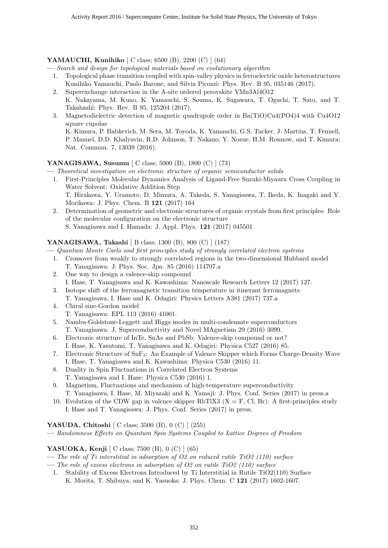#### **YAMAUCHI, Kunihiko** [ C class; 6500 (B), 2200 (C) ] (64)

**—** *Search and design for topological materials based on evolutionary algorithm*

- 1. Topological phase transition coupled with spin-valley physics in ferroelectric oxide heterostructures Kunihiko Yamauchi, Paolo Barone, and Silvia Picozzi: Phys. Rev. B 95, 035146 (2017).
- 2. Superexchange interaction in the A-site ordered perovskite YMn3Al4O12 K. Nakayama, M. Kuno, K. Yamauchi, S. Souma, K. Sugawara, T. Oguchi, T. Sato, and T. Takahashi: Phys. Rev. B 95, 125204 (2017).
- 3. Magnetodielectric detection of magnetic quadrupole order in Ba(TiO)Cu4(PO4)4 with Cu4O12 square cupolas K. Kimura, P. Babkevich, M. Sera, M. Toyoda, K. Yamauchi, G.S. Tucker, J. Martius, T. Fennell,

P. Manuel, D.D. Khalyavin, R.D. Johnson, T. Nakano, Y. Nozue, H.M. Ronnow, and T. Kimura: Nat. Commun. 7, 13039 (2016).

#### **YANAGISAWA, Susumu** [ C class; 5000 (B), 1800 (C) ] (73)

**—** *Theoretical investigation on electronic structure of organic semiconductor solids*

- 1. First-Principles Molecular Dynamics Analysis of Ligand-Free Suzuki-Miyaura Cross Coupling in Water Solvent: Oxidative Addition Step T. Hirakawa, Y. Uramoto, D. Mimura, A. Takeda, S. Yanagisawa, T. Ikeda, K. Inagaki and Y. Morikawa: J. Phys. Chem. B **121** (2017) 164
- 2. Determination of geometric and electronic structures of organic crystals from first principles: Role of the molecular configuration on the electronic structure S. Yanagisawa and I. Hamada: J. Appl. Phys. **121** (2017) 045501

#### **YANAGISAWA, Takashi** [ B class; 1300 (B), 800 (C) ] (187)

**—** *Quantum Monte Carlo and first principles study of strongly correlated electron systems*

- 1. Crossover from weakly to strongly correlated regions in the two-dimensional Hubbard model T. Yanagisawa: J. Phys. Soc. Jpn. 85 (2016) 114707.a
- 2. One way to design a valence-skip compound I. Hase, T. Yanagisawa and K. Kawashima: Nanoscale Research Letters 12 (2017) 127.
- 3. Isotope shift of the ferromagnetic transition temperature in itinerant ferromagnets T. Yanagisawa, I. Hase and K. Odagiri: Physics Letters A381 (2017) 737.a
- 4. Chiral sine-Gordon model T. Yanagisawa: EPL 113 (2016) 41001.
- 5. Nambu-Goldstone-Leggett and Higgs modes in multi-condensate superconductors T. Yanagisawa: J. Superconductivity and Novel MAgnetism 29 (2016) 3099.
- 6. Electronic structure of InTe, SnAs and PbSb: Valence-skip compound or not? I. Hase, K. Yasutomi, T. Yanagisawa and K. Odagiri: Physica C527 (2016) 85.
- 7. Electronic Structure of SnF3: An Example of Valence Skipper which Forms Charge-Density Wave I. Hase, T. Yanagisawa and K. Kawashima: Physica C530 (2016) 11.
- 8. Duality in Spin Fluctuations in Correlated Electron Systems T. Yanagisawa and I. Hase: Physica C530 (2016) 1.
- 9. Magnetism, Fluctuations and mechanism of high-temperature superconductivity T. Yanagisawa, I. Hase, M. Miyazaki and K. Yamaji: J. Phys. Conf. Series (2017) in press.a
- 10. Evolution of the CDW gap in valence skipper RbTlX3 ( $X = F$ , Cl, Br): A first-principles study I. Hase and T. Yanagisawa: J. Phys. Conf. Series (2017) in press.

#### **YASUDA, Chitoshi** [ C class; 3500 (B), 0 (C) ] (255)

**—** *Randomness Effects on Quantum Spin Systems Coupled to Lattice Degrees of Freedom*

#### **YASUOKA, Kenji** [ C class; 7500 (B), 0 (C) ] (65)

- **—** *The role of Ti interstitial in adsorption of O2 on reduced rutile TiO2 (110) surface*
- **—** *The role of excess electrons in adsorption of O2 on rutile TiO2 (110) surface*
- 1. Stability of Excess Electrons Introduced by Ti Interstitial in Rutile TiO2(110) Surface K. Morita, T. Shibuya, and K. Yasuoka: J. Phys. Chem. C **121** (2017) 1602-1607.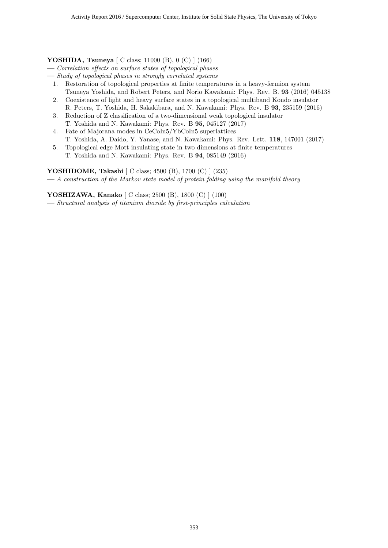#### **YOSHIDA, Tsuneya** [ C class; 11000 (B), 0 (C) ] (166)

- **—** *Correlation effects on surface states of topological phases*
- **—** *Study of topological phases in strongly correlated systems*
	- 1. Restoration of topological properties at finite temperatures in a heavy-fermion system Tsuneya Yoshida, and Robert Peters, and Norio Kawakami: Phys. Rev. B. **93** (2016) 045138
	- 2. Coexistence of light and heavy surface states in a topological multiband Kondo insulator R. Peters, T. Yoshida, H. Sakakibara, and N. Kawakami: Phys. Rev. B **93**, 235159 (2016)
	- 3. Reduction of Z classification of a two-dimensional weak topological insulator T. Yoshida and N. Kawakami: Phys. Rev. B **95**, 045127 (2017)
	- 4. Fate of Majorana modes in CeCoIn5/YbCoIn5 superlattices T. Yoshida, A. Daido, Y. Yanase, and N. Kawakami: Phys. Rev. Lett. **118**, 147001 (2017)
	- 5. Topological edge Mott insulating state in two dimensions at finite temperatures T. Yoshida and N. Kawakami: Phys. Rev. B **94**, 085149 (2016)

#### **YOSHIDOME, Takashi** [ C class; 4500 (B), 1700 (C) ] (235)

**—** *A construction of the Markov state model of protein folding using the manifold theory*

**YOSHIZAWA, Kanako** [ C class; 2500 (B), 1800 (C) ] (100)

**—** *Structural analysis of titanium dioxide by first-principles calculation*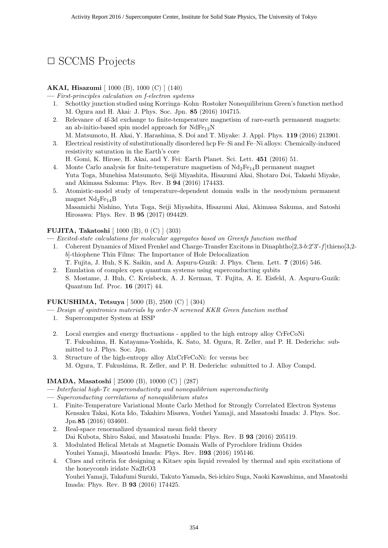## *✷* SCCMS Projects

#### **AKAI, Hisazumi** [ 1000 (B), 1000 (C) ] (140)

**—** *First-principles calculation on f-electron systems*

- 1. Schottky junction studied using Korringa–Kohn–Rostoker Nonequilibrium Green's function method M. Ogura and H. Akai: J. Phys. Soc. Jpn. **85** (2016) 104715.
- 2. Relevance of 4f-3d exchange to finite-temperature magnetism of rare-earth permanent magnets: an ab-initio-based spin model approach for  $NdFe_{12}N$
- M. Matsumoto, H. Akai, Y. Harashima, S. Doi and T. Miyake: J. Appl. Phys. **119** (2016) 213901. 3. Electrical resistivity of substitutionally disordered hcp Fe–Si and Fe–Ni alloys: Chemically-induced resistivity saturation in the Earth's core

H. Gomi, K. Hirose, H. Akai, and Y. Fei: Earth Planet. Sci. Lett. **451** (2016) 51.

- 4. Monte Carlo analysis for finite-temperature magnetism of  $Nd_2Fe_{14}B$  permanent magnet Yuta Toga, Munehisa Matsumoto, Seiji Miyashita, Hisazumi Akai, Shotaro Doi, Takashi Miyake, and Akimasa Sakuma: Phys. Rev. B **94** (2016) 174433.
- 5. Atomistic-model study of temperature-dependent domain walls in the neodymium permanent magnet  $Nd_2Fe_{14}B$ Masamichi Nishino, Yuta Toga, Seiji Miyashita, Hisazumi Akai, Akimasa Sakuma, and Satoshi Hirosawa: Phys. Rev. B **95** (2017) 094429.

#### **FUJITA, Takatoshi** [ 1000 (B), 0 (C) ] (303)

- **—** *Excited-state calculations for molecular aggregates based on Greenfs function method*
	- 1. Coherent Dynamics of Mixed Frenkel and Charge-Transfer Excitons in Dinaphtho[2,3-*b*:2*′*3 *′* -*f*]thieno[3,2 *b*]-thiophene Thin Films: The Importance of Hole Delocalization T. Fujita, J. Huh, S K. Saikin, and A. Aspuru-Guzik: J. Phys. Chem. Lett. **7** (2016) 546.
	- 2. Emulation of complex open quantum systems using superconducting qubits S. Mostame, J. Huh, C. Kreisbeck, A. J. Kerman, T. Fujita, A. E. Eisfeld, A. Aspuru-Guzik: Quantum Inf. Proc. **16** (2017) 44.

#### **FUKUSHIMA, Tetsuya** [ 5000 (B), 2500 (C) ] (304)

- **—** *Design of spintronics materials by order-N screened KKR Green function method*
	- 1. Supercomputer System at ISSP
	- 2. Local energies and energy fluctuations applied to the high entropy alloy CrFeCoNi T. Fukushima, H. Katayama-Yoshida, K. Sato, M. Ogura, R. Zeller, and P. H. Dederichs: submitted to J. Phys. Soc. Jpn.
	- 3. Structure of the high-entropy alloy AlxCrFeCoNi: fcc versus bcc M. Ogura, T. Fukushima, R. Zeller, and P. H. Dederichs: submitted to J. Alloy Compd.

#### **IMADA, Masatoshi** [ 25000 (B), 10000 (C) ] (287)

- **—** *Interfacial high-Tc superconductivity and nonequilibrium superconductivity*
- **—** *Superconducting correlations of nonequilibrium states*
	- 1. Finite-Temperature Variational Monte Carlo Method for Strongly Correlated Electron Systems Kensaku Takai, Kota Ido, Takahiro Misawa, Youhei Yamaji, and Masatoshi Imada: J. Phys. Soc. Jpn.**85** (2016) 034601.
	- 2. Real-space renormalized dynamical mean field theory Dai Kubota, Shiro Sakai, and Masatoshi Imada: Phys. Rev. B **93** (2016) 205119.
	- 3. Modulated Helical Metals at Magnetic Domain Walls of Pyrochlore Iridium Oxides Youhei Yamaji, Masatoshi Imada: Phys. Rev. B**93** (2016) 195146.
	- 4. Clues and criteria for designing a Kitaev spin liquid revealed by thermal and spin excitations of the honeycomb iridate Na2IrO3 Youhei Yamaji, Takafumi Suzuki, Takuto Yamada, Sei-ichiro Suga, Naoki Kawashima, and Masatoshi Imada: Phys. Rev. B **93** (2016) 174425.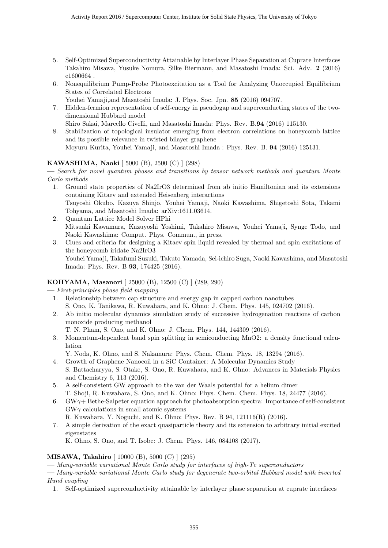- 5. Self-Optimized Superconductivity Attainable by Interlayer Phase Separation at Cuprate Interfaces Takahiro Misawa, Yusuke Nomura, Silke Biermann, and Masatoshi Imada: Sci. Adv. **2** (2016) e1600664 .
- 6. Nonequilibrium Pump-Probe Photoexcitation as a Tool for Analyzing Unoccupied Equilibrium States of Correlated Electrons

Youhei Yamaji,and Masatoshi Imada: J. Phys. Soc. Jpn. **85** (2016) 094707.

- 7. Hidden-fermion representation of self-energy in pseudogap and superconducting states of the twodimensional Hubbard model
	- Shiro Sakai, Marcello Civelli, and Masatoshi Imada: Phys. Rev. B.**94** (2016) 115130.
- 8. Stabilization of topological insulator emerging from electron correlations on honeycomb lattice and its possible relevance in twisted bilayer graphene Moyuru Kurita, Youhei Yamaji, and Masatoshi Imada : Phys. Rev. B. **94** (2016) 125131.

#### **KAWASHIMA, Naoki** [ 5000 (B), 2500 (C) ] (298)

**—** *Search for novel quantum phases and transitions by tensor network methods and quantum Monte Carlo methods*

- 1. Ground state properties of Na2IrO3 determined from ab initio Hamiltonian and its extensions containing Kitaev and extended Heisenberg interactions Tsuyoshi Okubo, Kazuya Shinjo, Youhei Yamaji, Naoki Kawashima, Shigetoshi Sota, Takami Tohyama, and Masatoshi Imada: arXiv:1611.03614.
- 2. Quantum Lattice Model Solver HPhi Mitsuaki Kawamura, Kazuyoshi Yoshimi, Takahiro Misawa, Youhei Yamaji, Synge Todo, and Naoki Kawashima: Comput. Phys. Commun., in press.
- 3. Clues and criteria for designing a Kitaev spin liquid revealed by thermal and spin excitations of the honeycomb iridate Na2IrO3 Youhei Yamaji, Takafumi Suzuki, Takuto Yamada, Sei-ichiro Suga, Naoki Kawashima, and Masatoshi Imada: Phys. Rev. B **93**, 174425 (2016).

#### **KOHYAMA, Masanori** [ 25000 (B), 12500 (C) ] (289, 290)

**—** *First-principles phase field mapping*

- 1. Relationship between cap structure and energy gap in capped carbon nanotubes S. Ono, K. Tanikawa, R. Kuwahara, and K. Ohno: J. Chem. Phys. 145, 024702 (2016).
- 2. Ab initio molecular dynamics simulation study of successive hydrogenation reactions of carbon monoxide producing methanol
	- T. N. Pham, S. Ono, and K. Ohno: J. Chem. Phys. 144, 144309 (2016).
- 3. Momentum-dependent band spin splitting in semiconducting MnO2: a density functional calculation
- Y. Noda, K. Ohno, and S. Nakamura: Phys. Chem. Chem. Phys. 18, 13294 (2016).
- 4. Growth of Graphene Nanocoil in a SiC Container: A Molecular Dynamics Study S. Battacharyya, S. Otake, S. Ono, R. Kuwahara, and K. Ohno: Advances in Materials Physics and Chemistry 6, 113 (2016).
- 5. A self-consistent GW approach to the van der Waals potential for a helium dimer T. Shoji, R. Kuwahara, S. Ono, and K. Ohno: Phys. Chem. Chem. Phys. 18, 24477 (2016).
- 6. GW*γ*+ Bethe-Salpeter equation approach for photoabsorption spectra: Importance of self-consistent GW*γ* calculations in small atomic systems
	- R. Kuwahara, Y. Noguchi, and K. Ohno: Phys. Rev. B 94, 121116(R) (2016).
- 7. A simple derivation of the exact quasiparticle theory and its extension to arbitrary initial excited eigenstates

K. Ohno, S. Ono, and T. Isobe: J. Chem. Phys. 146, 084108 (2017).

#### **MISAWA, Takahiro** [ 10000 (B), 5000 (C) ] (295)

**—** *Many-variable variational Monte Carlo study for interfaces of high-Tc superconductors*

- **—** *Many-variable variational Monte Carlo study for degenerate two-orbital Hubbard model with inverted Hund coupling*
	- 1. Self-optimized superconductivity attainable by interlayer phase separation at cuprate interfaces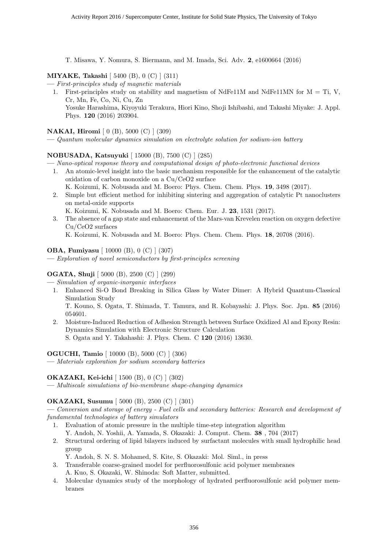T. Misawa, Y. Nomura, S. Biermann, and M. Imada, Sci. Adv. **2**, e1600664 (2016)

#### **MIYAKE, Takashi** [ 5400 (B), 0 (C) ] (311)

- **—** *First-principles study of magnetic materials*
	- 1. First-principles study on stability and magnetism of NdFe11M and NdFe11MN for M = Ti, V, Cr, Mn, Fe, Co, Ni, Cu, Zn Yosuke Harashima, Kiyoyuki Terakura, Hiori Kino, Shoji Ishibashi, and Takashi Miyake: J. Appl. Phys. **120** (2016) 203904.

#### **NAKAI, Hiromi** [ 0 (B), 5000 (C) ] (309)

**—** *Quantum molecular dynamics simulation on electrolyte solution for sodium-ion battery*

#### **NOBUSADA, Katsuyuki** [ 15000 (B), 7500 (C) ] (285)

**—** *Nano-optical response theory and computational design of photo-electronic functional devices*

- 1. An atomic-level insight into the basic mechanism responsible for the enhancement of the catalytic oxidation of carbon monoxide on a Cu/CeO2 surface
	- K. Koizumi, K. Nobusada and M. Boero: Phys. Chem. Chem. Phys. **19**, 3498 (2017).
- 2. Simple but efficient method for inhibiting sintering and aggregation of catalytic Pt nanoclusters on metal-oxide supports

K. Koizumi, K. Nobusada and M. Boero: Chem. Eur. J. **23**, 1531 (2017).

3. The absence of a gap state and enhancement of the Mars-van Krevelen reaction on oxygen defective Cu/CeO2 surfaces

K. Koizumi, K. Nobusada and M. Boero: Phys. Chem. Chem. Phys. **18**, 20708 (2016).

#### **OBA, Fumiyasu** [ 10000 (B), 0 (C) ] (307)

**—** *Exploration of novel semiconductors by first-principles screening*

#### **OGATA, Shuji** [ 5000 (B), 2500 (C) ] (299)

**—** *Simulation of organic-inorganic interfaces*

1. Enhanced Si-O Bond Breaking in Silica Glass by Water Dimer: A Hybrid Quantum-Classical Simulation Study

T. Kouno, S. Ogata, T. Shimada, T. Tamura, and R. Kobayashi: J. Phys. Soc. Jpn. **85** (2016) 054601.

2. Moisture-Induced Reduction of Adhesion Strength between Surface Oxidized Al and Epoxy Resin: Dynamics Simulation with Electronic Structure Calculation S. Ogata and Y. Takahashi: J. Phys. Chem. C **120** (2016) 13630.

#### **OGUCHI, Tamio** [ 10000 (B), 5000 (C) ] (306)

**—** *Materials exploration for sodium secondary batteries*

#### **OKAZAKI, Kei-ichi** [ 1500 (B), 0 (C) ] (302)

**—** *Multiscale simulations of bio-membrane shape-changing dynamics*

#### **OKAZAKI, Susumu** [ 5000 (B), 2500 (C) ] (301)

**—** *Conversion and storage of energy - Fuel cells and secondary batteries: Research and development of fundamental technologies of battery simulators*

- 1. Evaluation of atomic pressure in the multiple time-step integration algorithm
- Y. Andoh, N. Yoshii, A. Yamada, S. Okazaki: J. Comput. Chem. **38** , 704 (2017) 2. Structural ordering of lipid bilayers induced by surfactant molecules with small hydrophilic head group

Y. Andoh, S. N. S. Mohamed, S. Kite, S. Okazaki: Mol. Siml., in press

3. Transferable coarse-grained model for perfluorosulfonic acid polymer membranes

A. Kuo, S. Okazaki, W. Shinoda: Soft Matter, submitted.

4. Molecular dynamics study of the morphology of hydrated perfluorosulfonic acid polymer membranes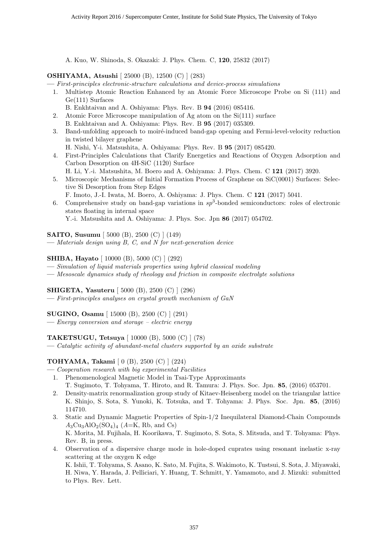A. Kuo, W. Shinoda, S. Okazaki: J. Phys. Chem. C, **120**, 25832 (2017)

#### **OSHIYAMA, Atsushi** [ 25000 (B), 12500 (C) ] (283)

**—** *First-principles electronic-structure calculations and device-process simulations*

- 1. Multistep Atomic Reaction Enhanced by an Atomic Force Microscope Probe on Si (111) and Ge(111) Surfaces
	- B. Enkhtaivan and A. Oshiyama: Phys. Rev. B **94** (2016) 085416.
- 2. Atomic Force Microscope manipulation of Ag atom on the Si(111) surface B. Enkhtaivan and A. Oshiyama: Phys. Rev. B **95** (2017) 035309.
- 3. Band-unfolding approach to moiré-induced band-gap opening and Fermi-level-velocity reduction in twisted bilayer graphene
- H. Nishi, Y-i. Matsushita, A. Oshiyama: Phys. Rev. B **95** (2017) 085420. 4. First-Principles Calculations that Clarify Energetics and Reactions of Oxygen Adsorption and
- Carbon Desorption on  $4H-SiC$  (11 $\bar{2}0$ ) Surface H. Li, Y.-i. Matsushita, M. Boero and A. Oshiyama: J. Phys. Chem. C **121** (2017) 3920.
- 5. Microscopic Mechanisms of Initial Formation Process of Graphene on SiC(0001) Surfaces: Selective Si Desorption from Step Edges F. Imoto, J.-I. Iwata, M. Boero, A. Oshiyama: J. Phys. Chem. C **121** (2017) 5041.
- 6. Comprehensive study on band-gap variations in  $sp^3$ -bonded semiconductors: roles of electronic states floating in internal space Y.-i. Matsushita and A. Oshiyama: J. Phys. Soc. Jpn **86** (2017) 054702.

**SAITO, Susumu** [ 5000 (B), 2500 (C) ] (149)

**—** *Materials design using B, C, and N for next-generation device*

#### **SHIBA, Hayato** [ 10000 (B), 5000 (C) ] (292)

**—** *Simulation of liquid materials properties using hybrid classical modeling*

**—** *Mesoscale dynamics study of rheology and friction in composite electrolyte solutions*

#### **SHIGETA, Yasuteru** [ 5000 (B), 2500 (C) ] (296)

**—** *First-principles analyses on crystal growth mechanism of GaN*

#### **SUGINO, Osamu** [ 15000 (B), 2500 (C) ] (291)

**—** *Energy conversion and storage – electric energy*

#### **TAKETSUGU, Tetsuya** [ 10000 (B), 5000 (C) ] (78)

**—** *Catalytic activity of abundant-metal clusters supported by an oxide substrate*

#### **TOHYAMA, Takami** [ 0 (B), 2500 (C) ] (224)

**—** *Cooperation research with big experimental Facilities*

- 1. Phenomenological Magnetic Model in Tsai-Type Approximants T. Sugimoto, T. Tohyama, T. Hiroto, and R. Tamura: J. Phys. Soc. Jpn. **85**, (2016) 053701.
- 2. Density-matrix renormalization group study of Kitaev-Heisenberg model on the triangular lattice K. Shinjo, S. Sota, S. Yunoki, K. Totsuka, and T. Tohyama: J. Phys. Soc. Jpn. **85**, (2016) 114710.
- 3. Static and Dynamic Magnetic Properties of Spin-1/2 Inequilateral Diamond-Chain Compounds  $A_3Cu_3AlO_2(SO_4)_4$  (*A*=K, Rb, and Cs) K. Morita, M. Fujihala, H. Koorikawa, T. Sugimoto, S. Sota, S. Mitsuda, and T. Tohyama: Phys. Rev. B, in press.
- 4. Observation of a dispersive charge mode in hole-doped cuprates using resonant inelastic x-ray scattering at the oxygen K edge

K. Ishii, T. Tohyama, S. Asano, K. Sato, M. Fujita, S. Wakimoto, K. Tustsui, S. Sota, J. Miyawaki, H. Niwa, Y. Harada, J. Pelliciari, Y. Huang, T. Schmitt, Y. Yamamoto, and J. Mizuki: submitted to Phys. Rev. Lett.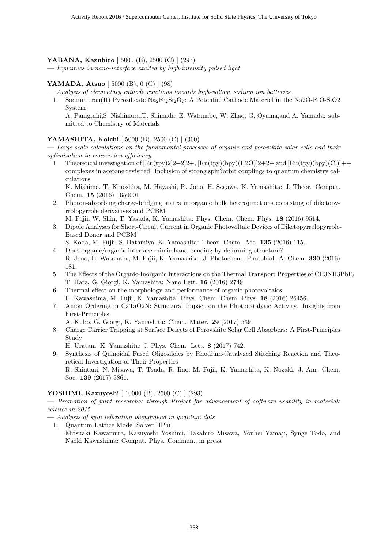#### **YABANA, Kazuhiro** [ 5000 (B), 2500 (C) ] (297)

**—** *Dynamics in nano-interface excited by high-intensity pulsed light*

#### **YAMADA, Atsuo** [ 5000 (B), 0 (C) ] (98)

- **—** *Analysis of elementary cathode reactions towards high-voltage sodium ion batteries*
	- 1. Sodium Iron(II) Pyrosilicate  $\text{Na}_2\text{Fe}_2\text{Si}_2\text{O}_7$ : A Potential Cathode Material in the Na2O-FeO-SiO2 System

A. Panigrahi,S. Nishimura,T. Shimada, E. Watanabe, W. Zhao, G. Oyama,and A. Yamada: submitted to Chemistry of Materials

#### **YAMASHITA, Koichi** [ 5000 (B), 2500 (C) ] (300)

**—** *Large scale calculations on the fundamental processes of organic and perovskite solar cells and their optimization in conversion efficiency*

1. Theoretical investigation of  $\left[\text{Ru(tpy)}\right]2\left[\frac{2+2}{2}+\text{Ru(tpy)}\right]2\left[\frac{H2O}{2}\right]\left[\frac{2+2+}{2+}\right]$  and  $\left[\text{Ru(tpy)}\right]2\left[\frac{H2O}{2+2+}\right]2\left[\frac{H2O}{2+2+}\right]$ complexes in acetone revisited: Inclusion of strong spin?orbit couplings to quantum chemistry calculations

K. Mishima, T. Kinoshita, M. Hayashi, R. Jono, H. Segawa, K. Yamashita: J. Theor. Comput. Chem. **15** (2016) 1650001.

- 2. Photon-absorbing charge-bridging states in organic bulk heterojunctions consisting of diketopyrrolopyrrole derivatives and PCBM
	- M. Fujii, W. Shin, T. Yasuda, K. Yamashita: Phys. Chem. Chem. Phys. **18** (2016) 9514.
- 3. Dipole Analyses for Short-Circuit Current in Organic Photovoltaic Devices of Diketopyrrolopyrrole-Based Donor and PCBM
	- S. Koda, M. Fujii, S. Hatamiya, K. Yamashita: Theor. Chem. Acc. **135** (2016) 115.
- 4. Does organic/organic interface mimic band bending by deforming structure? R. Jono, E. Watanabe, M. Fujii, K. Yamashita: J. Photochem. Photobiol. A: Chem. **330** (2016) 181.
- 5. The Effects of the Organic-Inorganic Interactions on the Thermal Transport Properties of CH3NH3PbI3 T. Hata, G. Giorgi, K. Yamashita: Nano Lett. **16** (2016) 2749.
- 6. Thermal effect on the morphology and performance of organic photovoltaics E. Kawashima, M. Fujii, K. Yamashita: Phys. Chem. Chem. Phys. **18** (2016) 26456.
- 7. Anion Ordering in CaTaO2N: Structural Impact on the Photocatalytic Activity. Insights from First-Principles
	- A. Kubo, G. Giorgi, K. Yamashita: Chem. Mater. **29** (2017) 539.
- 8. Charge Carrier Trapping at Surface Defects of Perovskite Solar Cell Absorbers: A First-Principles Study
	- H. Uratani, K. Yamashita: J. Phys. Chem. Lett. **8** (2017) 742.
- 9. Synthesis of Quinoidal Fused Oligosiloles by Rhodium-Catalyzed Stitching Reaction and Theoretical Investigation of Their Properties

R. Shintani, N. Misawa, T. Tsuda, R. Iino, M. Fujii, K. Yamashita, K. Nozaki: J. Am. Chem. Soc. **139** (2017) 3861.

#### **YOSHIMI, Kazuyoshi** [ 10000 (B), 2500 (C) ] (293)

**—** *Promotion of joint researches through Project for advancement of software usability in materials science in 2015*

- **—** *Analysis of spin relaxation phenomena in quantum dots*
- 1. Quantum Lattice Model Solver HPhi
	- Mitsuaki Kawamura, Kazuyoshi Yoshimi, Takahiro Misawa, Youhei Yamaji, Synge Todo, and Naoki Kawashima: Comput. Phys. Commun., in press.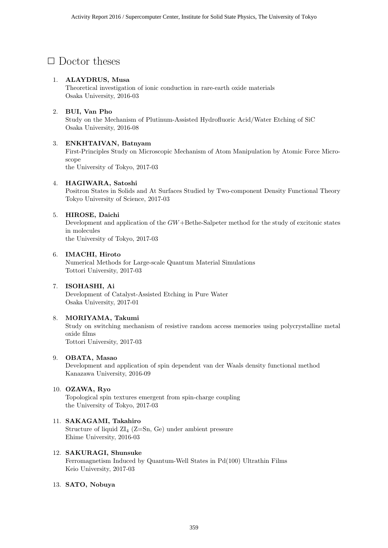## *✷* Doctor theses

#### 1. **ALAYDRUS, Musa**

Theoretical investigation of ionic conduction in rare-earth oxide materials Osaka University, 2016-03

#### 2. **BUI, Van Pho**

Study on the Mechanism of Plutinum-Assisted Hydrofluoric Acid/Water Etching of SiC Osaka University, 2016-08

#### 3. **ENKHTAIVAN, Batnyam**

First-Principles Study on Microscopic Mechanism of Atom Manipulation by Atomic Force Microscope

the University of Tokyo, 2017-03

#### 4. **HAGIWARA, Satoshi**

Positron States in Solids and At Surfaces Studied by Two-component Density Functional Theory Tokyo University of Science, 2017-03

#### 5. **HIROSE, Daichi**

Development and application of the *GW*+Bethe-Salpeter method for the study of excitonic states in molecules the University of Tokyo, 2017-03

6. **IMACHI, Hiroto**

Numerical Methods for Large-scale Quantum Material Simulations Tottori University, 2017-03

#### 7. **ISOHASHI, Ai**

Development of Catalyst-Assisted Etching in Pure Water Osaka University, 2017-01

#### 8. **MORIYAMA, Takumi**

Study on switching mechanism of resistive random access memories using polycrystalline metal oxide films Tottori University, 2017-03

#### 9. **OBATA, Masao**

Development and application of spin dependent van der Waals density functional method Kanazawa University, 2016-09

#### 10. **OZAWA, Ryo**

Topological spin textures emergent from spin-charge coupling the University of Tokyo, 2017-03

11. **SAKAGAMI, Takahiro** Structure of liquid  $ZI_4$  (Z=Sn, Ge) under ambient pressure Ehime University, 2016-03

#### 12. **SAKURAGI, Shunsuke** Ferromagnetism Induced by Quantum-Well States in Pd(100) Ultrathin Films Keio University, 2017-03

#### 13. **SATO, Nobuya**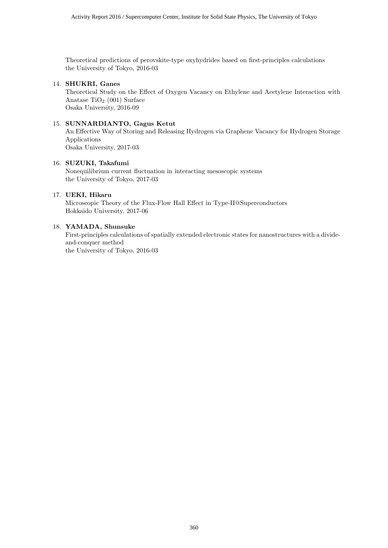Theoretical predictions of perovskite-type oxyhydrides based on first-principles calculations the University of Tokyo, 2016-03

#### 14. **SHUKRI, Ganes**

Theoretical Study on the Effect of Oxygen Vacancy on Ethylene and Acetylene Interaction with Anatase  $TiO<sub>2</sub>$  (001) Surface Osaka University, 2016-09

#### 15. **SUNNARDIANTO, Gagus Ketut**

An Effective Way of Storing and Releasing Hydrogen via Graphene Vacancy for Hydrogen Storage Applications Osaka University, 2017-03

#### 16. **SUZUKI, Takafumi**

Nonequilibrium current fluctuation in interacting mesoscopic systems the University of Tokyo, 2017-03

#### 17. **UEKI, Hikaru**

Microscopic Theory of the Flux-Flow Hall Effect in Type-II@Superconductors Hokkaido University, 2017-06

#### 18. **YAMADA, Shunsuke**

First-principles calculations of spatially extended electronic states for nanostructures with a divideand-conquer method the University of Tokyo, 2016-03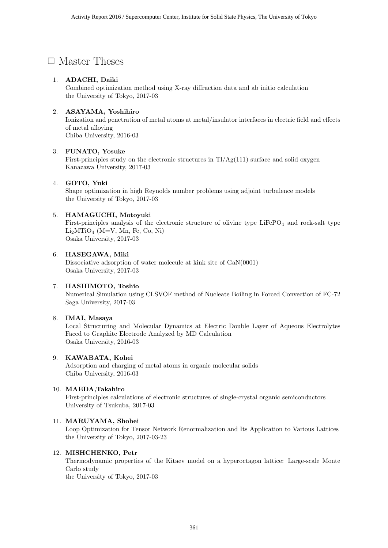## □ Master Theses

#### 1. **ADACHI, Daiki**

Combined optimization method using X-ray diffraction data and ab initio calculation the University of Tokyo, 2017-03

#### 2. **ASAYAMA, Yoshihiro**

Ionization and penetration of metal atoms at metal/insulator interfaces in electric field and effects of metal alloying Chiba University, 2016-03

#### 3. **FUNATO, Yosuke**

First-principles study on the electronic structures in Tl/Ag(111) surface and solid oxygen Kanazawa University, 2017-03

#### 4. **GOTO, Yuki**

Shape optimization in high Reynolds number problems using adjoint turbulence models the University of Tokyo, 2017-03

#### 5. **HAMAGUCHI, Motoyuki**

First-principles analysis of the electronic structure of olivine type  $LiFePO<sub>4</sub>$  and rock-salt type  $Li<sub>2</sub>MTiO<sub>4</sub>$  (M=V, Mn, Fe, Co, Ni) Osaka University, 2017-03

#### 6. **HASEGAWA, Miki**

Dissociative adsorption of water molecule at kink site of GaN(0001) Osaka University, 2017-03

#### 7. **HASHIMOTO, Toshio**

Numerical Simulation using CLSVOF method of Nucleate Boiling in Forced Convection of FC-72 Saga University, 2017-03

#### 8. **IMAI, Masaya**

Local Structuring and Molecular Dynamics at Electric Double Layer of Aqueous Electrolytes Faced to Graphite Electrode Analyzed by MD Calculation Osaka University, 2016-03

#### 9. **KAWABATA, Kohei**

Adsorption and charging of metal atoms in organic molecular solids Chiba University, 2016-03

#### 10. **MAEDA,Takahiro**

First-principles calculations of electronic structures of single-crystal organic semiconductors University of Tsukuba, 2017-03

#### 11. **MARUYAMA, Shohei**

Loop Optimization for Tensor Network Renormalization and Its Application to Various Lattices the University of Tokyo, 2017-03-23

#### 12. **MISHCHENKO, Petr**

Thermodynamic properties of the Kitaev model on a hyperoctagon lattice: Large-scale Monte Carlo study

the University of Tokyo, 2017-03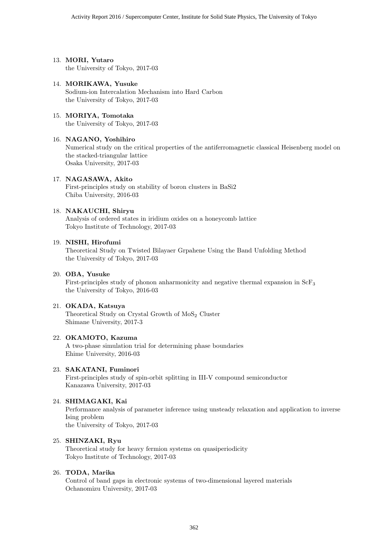- 13. **MORI, Yutaro** the University of Tokyo, 2017-03
- 14. **MORIKAWA, Yusuke** Sodium-ion Intercalation Mechanism into Hard Carbon the University of Tokyo, 2017-03
- 15. **MORIYA, Tomotaka** the University of Tokyo, 2017-03

#### 16. **NAGANO, Yoshihiro**

Numerical study on the critical properties of the antiferromagnetic classical Heisenberg model on the stacked-triangular lattice Osaka University, 2017-03

#### 17. **NAGASAWA, Akito**

First-principles study on stability of boron clusters in BaSi2 Chiba University, 2016-03

#### 18. **NAKAUCHI, Shiryu**

Analysis of ordered states in iridium oxides on a honeycomb lattice Tokyo Institute of Technology, 2017-03

#### 19. **NISHI, Hirofumi**

Theoretical Study on Twisted Bilayaer Grpahene Using the Band Unfolding Method the University of Tokyo, 2017-03

#### 20. **OBA, Yusuke**

First-principles study of phonon anharmonicity and negative thermal expansion in ScF<sup>3</sup> the University of Tokyo, 2016-03

#### 21. **OKADA, Katsuya**

Theoretical Study on Crystal Growth of  $MoS<sub>2</sub>$  Cluster Shimane University, 2017-3

#### 22. **OKAMOTO, Kazuma**

A two-phase simulation trial for determining phase boundaries Ehime University, 2016-03

#### 23. **SAKATANI, Fuminori**

First-principles study of spin-orbit splitting in III-V compound semiconductor Kanazawa University, 2017-03

#### 24. **SHIMAGAKI, Kai**

Performance analysis of parameter inference using unsteady relaxation and application to inverse Ising problem the University of Tokyo, 2017-03

#### 25. **SHINZAKI, Ryu**

Theoretical study for heavy fermion systems on quasiperiodicity Tokyo Institute of Technology, 2017-03

#### 26. **TODA, Marika**

Control of band gaps in electronic systems of two-dimensional layered materials Ochanomizu University, 2017-03